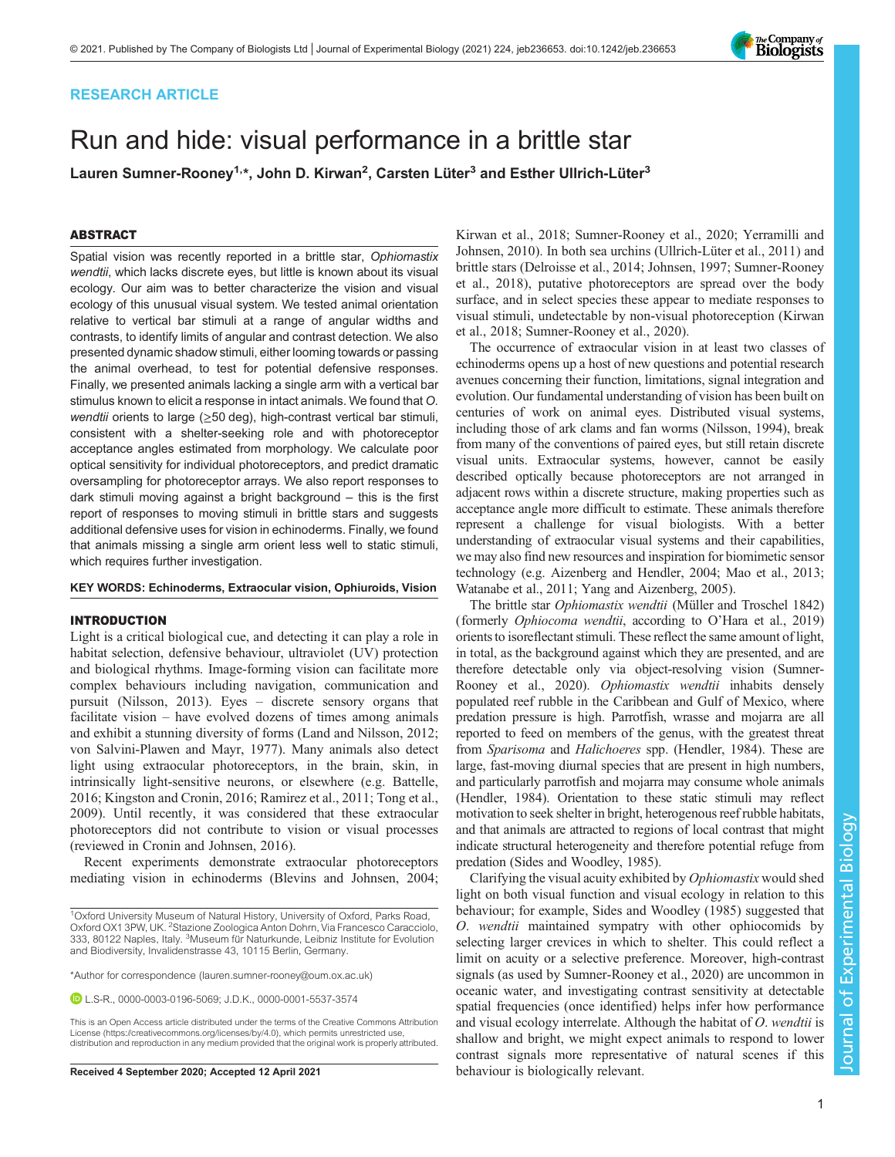# RESEARCH ARTICLE

# Run and hide: visual performance in a brittle star

Lauren Sumner-Rooney<sup>1,</sup>\*, John D. Kirwan<sup>2</sup>, Carsten Lüter<sup>3</sup> and Esther Ullrich-Lüter<sup>3</sup>

# ABSTRACT

Spatial vision was recently reported in a brittle star, Ophiomastix wendtii, which lacks discrete eyes, but little is known about its visual ecology. Our aim was to better characterize the vision and visual ecology of this unusual visual system. We tested animal orientation relative to vertical bar stimuli at a range of angular widths and contrasts, to identify limits of angular and contrast detection. We also presented dynamic shadow stimuli, either looming towards or passing the animal overhead, to test for potential defensive responses. Finally, we presented animals lacking a single arm with a vertical bar stimulus known to elicit a response in intact animals. We found that O. wendtii orients to large (≥50 deg), high-contrast vertical bar stimuli, consistent with a shelter-seeking role and with photoreceptor acceptance angles estimated from morphology. We calculate poor optical sensitivity for individual photoreceptors, and predict dramatic oversampling for photoreceptor arrays. We also report responses to dark stimuli moving against a bright background – this is the first report of responses to moving stimuli in brittle stars and suggests additional defensive uses for vision in echinoderms. Finally, we found that animals missing a single arm orient less well to static stimuli, which requires further investigation.

#### KEY WORDS: Echinoderms, Extraocular vision, Ophiuroids, Vision

# INTRODUCTION

Light is a critical biological cue, and detecting it can play a role in habitat selection, defensive behaviour, ultraviolet (UV) protection and biological rhythms. Image-forming vision can facilitate more complex behaviours including navigation, communication and pursuit ([Nilsson, 2013\)](#page-10-0). Eyes – discrete sensory organs that facilitate vision – have evolved dozens of times among animals and exhibit a stunning diversity of forms ([Land and Nilsson, 2012](#page-10-0); [von Salvini-Plawen and Mayr, 1977](#page-10-0)). Many animals also detect light using extraocular photoreceptors, in the brain, skin, in intrinsically light-sensitive neurons, or elsewhere (e.g. [Battelle,](#page-10-0) [2016](#page-10-0); [Kingston and Cronin, 2016](#page-10-0); [Ramirez et al., 2011](#page-10-0); [Tong et al.,](#page-10-0) [2009](#page-10-0)). Until recently, it was considered that these extraocular photoreceptors did not contribute to vision or visual processes (reviewed in [Cronin and Johnsen, 2016](#page-10-0)).

Recent experiments demonstrate extraocular photoreceptors mediating vision in echinoderms ([Blevins and Johnsen, 2004](#page-10-0);

\*Author for correspondence [\(lauren.sumner-rooney@oum.ox.ac.uk\)](mailto:lauren.sumner-rooney@oum.ox.ac.uk)

L.S-R., [0000-0003-0196-5069;](http://orcid.org/0000-0003-0196-5069) J.D.K., [0000-0001-5537-3574](http://orcid.org/0000-0001-5537-3574)

This is an Open Access article distributed under the terms of the Creative Commons Attribution License (https://creativecommons.org/licenses/by/4.0), which permits unrestricted use, distribution and reproduction in any medium provided that the original work is properly attributed.

[Kirwan et al., 2018; Sumner-Rooney et al., 2020](#page-10-0); [Yerramilli and](#page-11-0) [Johnsen, 2010](#page-11-0)). In both sea urchins ([Ullrich-Lüter et al., 2011\)](#page-10-0) and brittle stars ([Delroisse et al., 2014](#page-10-0); [Johnsen, 1997; Sumner-Rooney](#page-10-0) [et al., 2018](#page-10-0)), putative photoreceptors are spread over the body surface, and in select species these appear to mediate responses to visual stimuli, undetectable by non-visual photoreception ([Kirwan](#page-10-0) [et al., 2018; Sumner-Rooney et al., 2020](#page-10-0)).

The occurrence of extraocular vision in at least two classes of echinoderms opens up a host of new questions and potential research avenues concerning their function, limitations, signal integration and evolution. Our fundamental understanding of vision has been built on centuries of work on animal eyes. Distributed visual systems, including those of ark clams and fan worms [\(Nilsson, 1994\)](#page-10-0), break from many of the conventions of paired eyes, but still retain discrete visual units. Extraocular systems, however, cannot be easily described optically because photoreceptors are not arranged in adjacent rows within a discrete structure, making properties such as acceptance angle more difficult to estimate. These animals therefore represent a challenge for visual biologists. With a better understanding of extraocular visual systems and their capabilities, we may also find new resources and inspiration for biomimetic sensor technology (e.g. [Aizenberg and Hendler, 2004; Mao et al., 2013](#page-10-0); [Watanabe et al., 2011; Yang and Aizenberg, 2005](#page-10-0)).

The brittle star Ophiomastix wendtii (Müller and Troschel 1842) (formerly Ophiocoma wendtii, according to O'[Hara et al., 2019\)](#page-10-0) orients to isoreflectant stimuli. These reflect the same amount of light, in total, as the background against which they are presented, and are therefore detectable only via object-resolving vision [\(Sumner-](#page-10-0)[Rooney et al., 2020](#page-10-0)). Ophiomastix wendtii inhabits densely populated reef rubble in the Caribbean and Gulf of Mexico, where predation pressure is high. Parrotfish, wrasse and mojarra are all reported to feed on members of the genus, with the greatest threat from Sparisoma and Halichoeres spp. [\(Hendler, 1984](#page-10-0)). These are large, fast-moving diurnal species that are present in high numbers, and particularly parrotfish and mojarra may consume whole animals [\(Hendler, 1984\)](#page-10-0). Orientation to these static stimuli may reflect motivation to seek shelter in bright, heterogenous reef rubble habitats, and that animals are attracted to regions of local contrast that might indicate structural heterogeneity and therefore potential refuge from predation [\(Sides and Woodley, 1985](#page-10-0)).

Clarifying the visual acuity exhibited by Ophiomastix would shed light on both visual function and visual ecology in relation to this behaviour; for example, [Sides and Woodley \(1985\)](#page-10-0) suggested that O. wendtii maintained sympatry with other ophiocomids by selecting larger crevices in which to shelter. This could reflect a limit on acuity or a selective preference. Moreover, high-contrast signals (as used by [Sumner-Rooney et al., 2020](#page-10-0)) are uncommon in oceanic water, and investigating contrast sensitivity at detectable spatial frequencies (once identified) helps infer how performance and visual ecology interrelate. Although the habitat of O. wendtii is shallow and bright, we might expect animals to respond to lower contrast signals more representative of natural scenes if this Received 4 September 2020; Accepted 12 April 2021 behaviour is biologically relevant.



<sup>&</sup>lt;sup>1</sup>Oxford University Museum of Natural History, University of Oxford, Parks Road, Oxford OX1 3PW, UK. <sup>2</sup>Stazione Zoologica Anton Dohrn, Via Francesco Caracciolo, 333, 80122 Naples, Italy. <sup>3</sup>Museum für Naturkunde, Leibniz Institute for Evolution and Biodiversity, Invalidenstrasse 43, 10115 Berlin, Germany.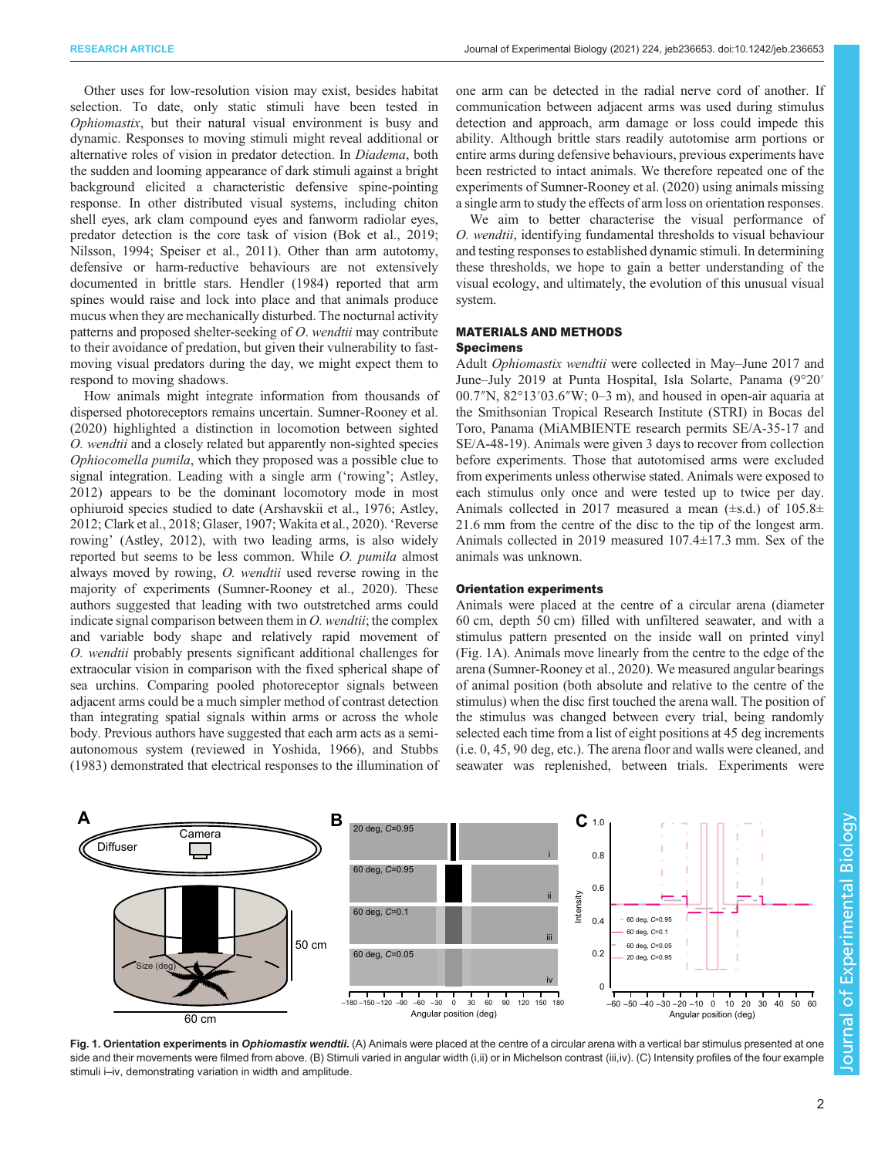<span id="page-1-0"></span>Other uses for low-resolution vision may exist, besides habitat selection. To date, only static stimuli have been tested in Ophiomastix, but their natural visual environment is busy and dynamic. Responses to moving stimuli might reveal additional or alternative roles of vision in predator detection. In Diadema, both the sudden and looming appearance of dark stimuli against a bright background elicited a characteristic defensive spine-pointing response. In other distributed visual systems, including chiton shell eyes, ark clam compound eyes and fanworm radiolar eyes, predator detection is the core task of vision [\(Bok et al., 2019](#page-10-0); [Nilsson, 1994; Speiser et al., 2011](#page-10-0)). Other than arm autotomy, defensive or harm-reductive behaviours are not extensively documented in brittle stars. [Hendler \(1984\)](#page-10-0) reported that arm spines would raise and lock into place and that animals produce mucus when they are mechanically disturbed. The nocturnal activity patterns and proposed shelter-seeking of O. wendtii may contribute to their avoidance of predation, but given their vulnerability to fastmoving visual predators during the day, we might expect them to respond to moving shadows.

How animals might integrate information from thousands of dispersed photoreceptors remains uncertain. [Sumner-Rooney et al.](#page-10-0) [\(2020\)](#page-10-0) highlighted a distinction in locomotion between sighted O. wendtii and a closely related but apparently non-sighted species Ophiocomella pumila, which they proposed was a possible clue to signal integration. Leading with a single arm ('rowing'; [Astley,](#page-10-0) [2012](#page-10-0)) appears to be the dominant locomotory mode in most ophiuroid species studied to date ([Arshavskii et al., 1976; Astley,](#page-10-0) [2012](#page-10-0); [Clark et al., 2018](#page-10-0); [Glaser, 1907](#page-10-0); [Wakita et al., 2020\)](#page-10-0). 'Reverse rowing' [\(Astley, 2012](#page-10-0)), with two leading arms, is also widely reported but seems to be less common. While O. pumila almost always moved by rowing, O. wendtii used reverse rowing in the majority of experiments [\(Sumner-Rooney et al., 2020\)](#page-10-0). These authors suggested that leading with two outstretched arms could indicate signal comparison between them in  $O$ . wendtii; the complex and variable body shape and relatively rapid movement of O. wendtii probably presents significant additional challenges for extraocular vision in comparison with the fixed spherical shape of sea urchins. Comparing pooled photoreceptor signals between adjacent arms could be a much simpler method of contrast detection than integrating spatial signals within arms or across the whole body. Previous authors have suggested that each arm acts as a semiautonomous system (reviewed in [Yoshida, 1966](#page-11-0)), and Stubbs (1983) demonstrated that electrical responses to the illumination of

one arm can be detected in the radial nerve cord of another. If communication between adjacent arms was used during stimulus detection and approach, arm damage or loss could impede this ability. Although brittle stars readily autotomise arm portions or entire arms during defensive behaviours, previous experiments have been restricted to intact animals. We therefore repeated one of the experiments of [Sumner-Rooney et al. \(2020\)](#page-10-0) using animals missing a single arm to study the effects of arm loss on orientation responses.

We aim to better characterise the visual performance of O. wendtii, identifying fundamental thresholds to visual behaviour and testing responses to established dynamic stimuli. In determining these thresholds, we hope to gain a better understanding of the visual ecology, and ultimately, the evolution of this unusual visual system.

# MATERIALS AND METHODS

#### Specimens

Adult Ophiomastix wendtii were collected in May–June 2017 and June–July 2019 at Punta Hospital, Isla Solarte, Panama (9°20′ 00.7″N, 82°13′03.6″W; 0–3 m), and housed in open-air aquaria at the Smithsonian Tropical Research Institute (STRI) in Bocas del Toro, Panama (MiAMBIENTE research permits SE/A-35-17 and SE/A-48-19). Animals were given 3 days to recover from collection before experiments. Those that autotomised arms were excluded from experiments unless otherwise stated. Animals were exposed to each stimulus only once and were tested up to twice per day. Animals collected in 2017 measured a mean  $(\pm s.d.)$  of 105.8 $\pm$ 21.6 mm from the centre of the disc to the tip of the longest arm. Animals collected in 2019 measured 107.4±17.3 mm. Sex of the animals was unknown.

# Orientation experiments

Animals were placed at the centre of a circular arena (diameter 60 cm, depth 50 cm) filled with unfiltered seawater, and with a stimulus pattern presented on the inside wall on printed vinyl (Fig. 1A). Animals move linearly from the centre to the edge of the arena [\(Sumner-Rooney et al., 2020\)](#page-10-0). We measured angular bearings of animal position (both absolute and relative to the centre of the stimulus) when the disc first touched the arena wall. The position of the stimulus was changed between every trial, being randomly selected each time from a list of eight positions at 45 deg increments (i.e. 0, 45, 90 deg, etc.). The arena floor and walls were cleaned, and seawater was replenished, between trials. Experiments were



Fig. 1. Orientation experiments in Ophiomastix wendtii. (A) Animals were placed at the centre of a circular arena with a vertical bar stimulus presented at one side and their movements were filmed from above. (B) Stimuli varied in angular width (i,ii) or in Michelson contrast (iii,iv). (C) Intensity profiles of the four example stimuli i–iv, demonstrating variation in width and amplitude.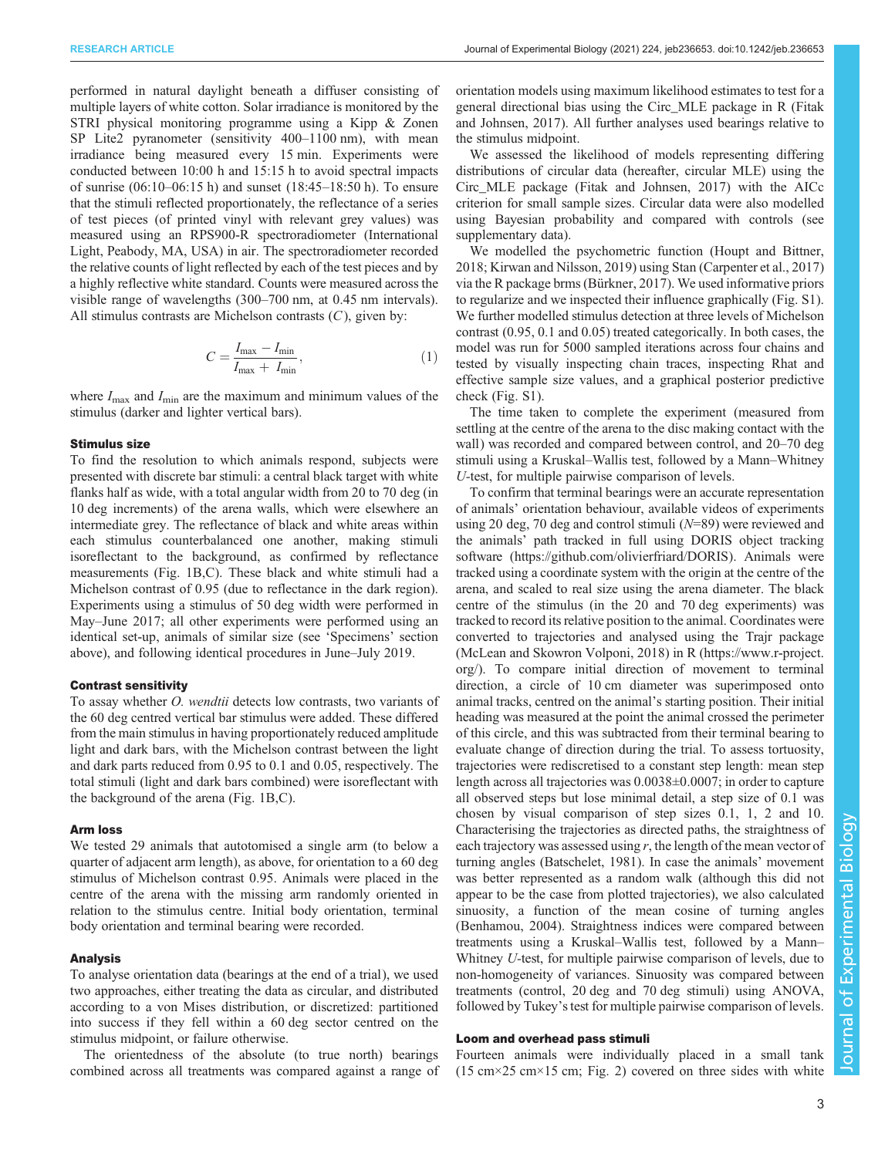performed in natural daylight beneath a diffuser consisting of multiple layers of white cotton. Solar irradiance is monitored by the STRI physical monitoring programme using a Kipp & Zonen SP Lite2 pyranometer (sensitivity 400–1100 nm), with mean irradiance being measured every 15 min. Experiments were conducted between 10:00 h and 15:15 h to avoid spectral impacts of sunrise (06:10–06:15 h) and sunset (18:45–18:50 h). To ensure that the stimuli reflected proportionately, the reflectance of a series of test pieces (of printed vinyl with relevant grey values) was measured using an RPS900-R spectroradiometer (International Light, Peabody, MA, USA) in air. The spectroradiometer recorded the relative counts of light reflected by each of the test pieces and by a highly reflective white standard. Counts were measured across the visible range of wavelengths (300–700 nm, at 0.45 nm intervals). All stimulus contrasts are Michelson contrasts  $(C)$ , given by:

$$
C = \frac{I_{\text{max}} - I_{\text{min}}}{I_{\text{max}} + I_{\text{min}}},\tag{1}
$$

where  $I_{\text{max}}$  and  $I_{\text{min}}$  are the maximum and minimum values of the stimulus (darker and lighter vertical bars).

# Stimulus size

To find the resolution to which animals respond, subjects were presented with discrete bar stimuli: a central black target with white flanks half as wide, with a total angular width from 20 to 70 deg (in 10 deg increments) of the arena walls, which were elsewhere an intermediate grey. The reflectance of black and white areas within each stimulus counterbalanced one another, making stimuli isoreflectant to the background, as confirmed by reflectance measurements [\(Fig. 1B](#page-1-0),C). These black and white stimuli had a Michelson contrast of 0.95 (due to reflectance in the dark region). Experiments using a stimulus of 50 deg width were performed in May–June 2017; all other experiments were performed using an identical set-up, animals of similar size (see 'Specimens' section above), and following identical procedures in June–July 2019.

#### Contrast sensitivity

To assay whether O. wendtii detects low contrasts, two variants of the 60 deg centred vertical bar stimulus were added. These differed from the main stimulus in having proportionately reduced amplitude light and dark bars, with the Michelson contrast between the light and dark parts reduced from 0.95 to 0.1 and 0.05, respectively. The total stimuli (light and dark bars combined) were isoreflectant with the background of the arena ([Fig. 1B](#page-1-0),C).

#### Arm loss

We tested 29 animals that autotomised a single arm (to below a quarter of adjacent arm length), as above, for orientation to a 60 deg stimulus of Michelson contrast 0.95. Animals were placed in the centre of the arena with the missing arm randomly oriented in relation to the stimulus centre. Initial body orientation, terminal body orientation and terminal bearing were recorded.

#### Analysis

To analyse orientation data (bearings at the end of a trial), we used two approaches, either treating the data as circular, and distributed according to a von Mises distribution, or discretized: partitioned into success if they fell within a 60 deg sector centred on the stimulus midpoint, or failure otherwise.

The orientedness of the absolute (to true north) bearings combined across all treatments was compared against a range of orientation models using maximum likelihood estimates to test for a general directional bias using the Circ\_MLE package in R ([Fitak](#page-10-0) [and Johnsen, 2017\)](#page-10-0). All further analyses used bearings relative to the stimulus midpoint.

We assessed the likelihood of models representing differing distributions of circular data (hereafter, circular MLE) using the Circ\_MLE package ([Fitak and Johnsen, 2017\)](#page-10-0) with the AICc criterion for small sample sizes. Circular data were also modelled using Bayesian probability and compared with controls (see supplementary data).

We modelled the psychometric function ([Houpt and Bittner,](#page-10-0) [2018; Kirwan and Nilsson, 2019\)](#page-10-0) using Stan [\(Carpenter et al., 2017\)](#page-10-0) via the R package brms [\(Bürkner, 2017](#page-10-0)). We used informative priors to regularize and we inspected their influence graphically (Fig. S1). We further modelled stimulus detection at three levels of Michelson contrast (0.95, 0.1 and 0.05) treated categorically. In both cases, the model was run for 5000 sampled iterations across four chains and tested by visually inspecting chain traces, inspecting Rhat and effective sample size values, and a graphical posterior predictive check (Fig. S1).

The time taken to complete the experiment (measured from settling at the centre of the arena to the disc making contact with the wall) was recorded and compared between control, and 20–70 deg stimuli using a Kruskal–Wallis test, followed by a Mann–Whitney U-test, for multiple pairwise comparison of levels.

To confirm that terminal bearings were an accurate representation of animals' orientation behaviour, available videos of experiments using 20 deg, 70 deg and control stimuli (N=89) were reviewed and the animals' path tracked in full using DORIS object tracking software [\(https://github.com/olivierfriard/DORIS\)](https://github.com/olivierfriard/DORIS). Animals were tracked using a coordinate system with the origin at the centre of the arena, and scaled to real size using the arena diameter. The black centre of the stimulus (in the 20 and 70 deg experiments) was tracked to record its relative position to the animal. Coordinates were converted to trajectories and analysed using the Trajr package [\(McLean and Skowron Volponi, 2018](#page-10-0)) in R ([https://www.r-project.](https://www.r-project.org/) [org/](https://www.r-project.org/)). To compare initial direction of movement to terminal direction, a circle of 10 cm diameter was superimposed onto animal tracks, centred on the animal's starting position. Their initial heading was measured at the point the animal crossed the perimeter of this circle, and this was subtracted from their terminal bearing to evaluate change of direction during the trial. To assess tortuosity, trajectories were rediscretised to a constant step length: mean step length across all trajectories was 0.0038±0.0007; in order to capture all observed steps but lose minimal detail, a step size of 0.1 was chosen by visual comparison of step sizes 0.1, 1, 2 and 10. Characterising the trajectories as directed paths, the straightness of each trajectory was assessed using  $r$ , the length of the mean vector of turning angles ([Batschelet, 1981\)](#page-10-0). In case the animals' movement was better represented as a random walk (although this did not appear to be the case from plotted trajectories), we also calculated sinuosity, a function of the mean cosine of turning angles [\(Benhamou, 2004](#page-10-0)). Straightness indices were compared between treatments using a Kruskal–Wallis test, followed by a Mann– Whitney U-test, for multiple pairwise comparison of levels, due to non-homogeneity of variances. Sinuosity was compared between treatments (control, 20 deg and 70 deg stimuli) using ANOVA, followed by Tukey's test for multiple pairwise comparison of levels.

# Loom and overhead pass stimuli

Fourteen animals were individually placed in a small tank  $(15 \text{ cm} \times 25 \text{ cm} \times 15 \text{ cm}; \text{ Fig. 2})$  $(15 \text{ cm} \times 25 \text{ cm} \times 15 \text{ cm}; \text{ Fig. 2})$  $(15 \text{ cm} \times 25 \text{ cm} \times 15 \text{ cm}; \text{ Fig. 2})$  covered on three sides with white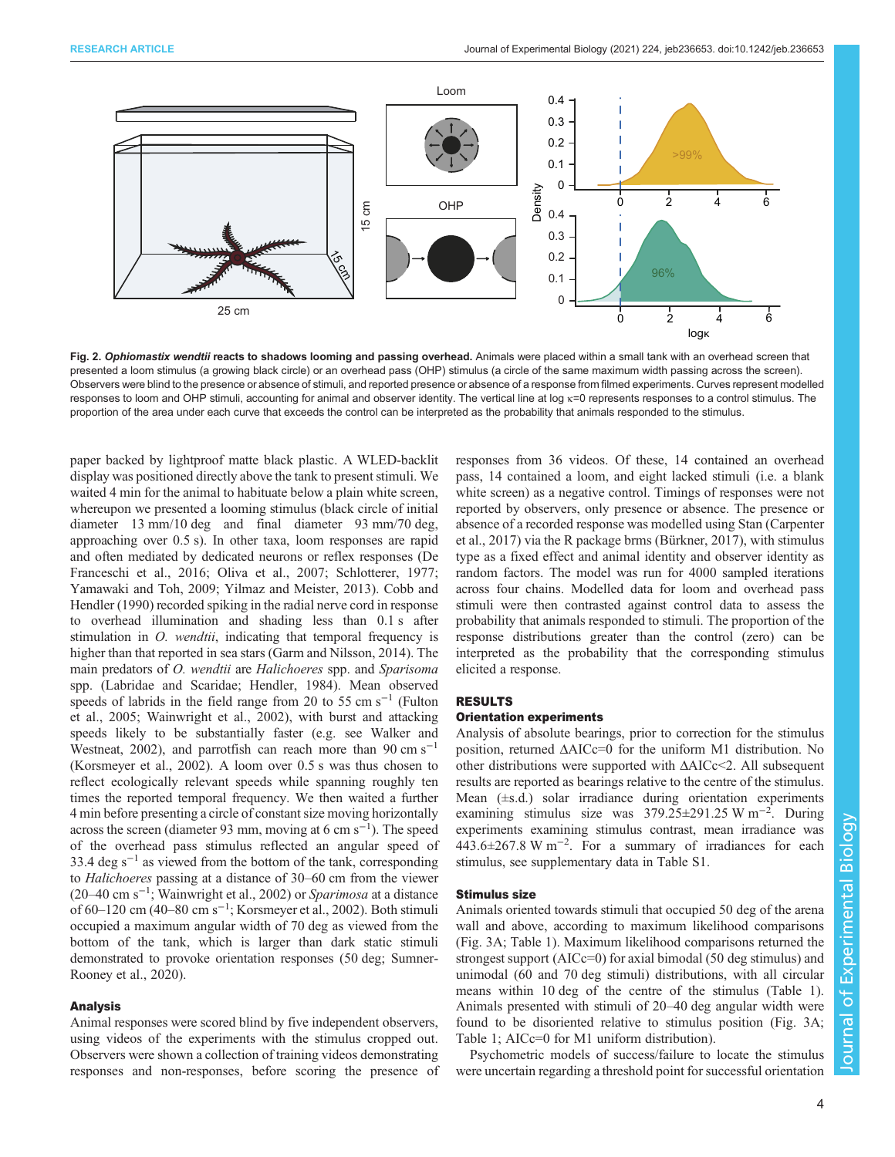<span id="page-3-0"></span>

Fig. 2. Ophiomastix wendtii reacts to shadows looming and passing overhead. Animals were placed within a small tank with an overhead screen that presented a loom stimulus (a growing black circle) or an overhead pass (OHP) stimulus (a circle of the same maximum width passing across the screen). Observers were blind to the presence or absence of stimuli, and reported presence or absence of a response from filmed experiments. Curves represent modelled responses to loom and OHP stimuli, accounting for animal and observer identity. The vertical line at log κ=0 represents responses to a control stimulus. The proportion of the area under each curve that exceeds the control can be interpreted as the probability that animals responded to the stimulus.

paper backed by lightproof matte black plastic. A WLED-backlit display was positioned directly above the tank to present stimuli. We waited 4 min for the animal to habituate below a plain white screen, whereupon we presented a looming stimulus (black circle of initial diameter 13 mm/10 deg and final diameter 93 mm/70 deg, approaching over 0.5 s). In other taxa, loom responses are rapid and often mediated by dedicated neurons or reflex responses ([De](#page-10-0) [Franceschi et al., 2016](#page-10-0); [Oliva et al., 2007](#page-10-0); [Schlotterer, 1977](#page-10-0); [Yamawaki and Toh, 2009;](#page-10-0) [Yilmaz and Meister, 2013](#page-11-0)). [Cobb and](#page-10-0) [Hendler \(1990\)](#page-10-0) recorded spiking in the radial nerve cord in response to overhead illumination and shading less than 0.1 s after stimulation in *O. wendtii*, indicating that temporal frequency is higher than that reported in sea stars ([Garm and Nilsson, 2014\)](#page-10-0). The main predators of *O. wendtii* are *Halichoeres* spp. and *Sparisoma* spp. (Labridae and Scaridae; [Hendler, 1984](#page-10-0)). Mean observed speeds of labrids in the field range from 20 to 55 cm s<sup>-1</sup> ([Fulton](#page-10-0) [et al., 2005; Wainwright et al., 2002\)](#page-10-0), with burst and attacking speeds likely to be substantially faster (e.g. see [Walker and](#page-10-0) [Westneat, 2002\)](#page-10-0), and parrotfish can reach more than 90 cm s<sup>-1</sup> [\(Korsmeyer et al., 2002\)](#page-10-0). A loom over 0.5 s was thus chosen to reflect ecologically relevant speeds while spanning roughly ten times the reported temporal frequency. We then waited a further 4 min before presenting a circle of constant size moving horizontally across the screen (diameter 93 mm, moving at 6 cm s−<sup>1</sup> ). The speed of the overhead pass stimulus reflected an angular speed of 33.4 deg s<sup> $-1$ </sup> as viewed from the bottom of the tank, corresponding to Halichoeres passing at a distance of 30–60 cm from the viewer (20–40 cm s−<sup>1</sup> ; [Wainwright et al., 2002](#page-10-0)) or Sparimosa at a distance of 60–120 cm (40–80 cm s−<sup>1</sup> ; [Korsmeyer et al., 2002](#page-10-0)). Both stimuli occupied a maximum angular width of 70 deg as viewed from the bottom of the tank, which is larger than dark static stimuli demonstrated to provoke orientation responses (50 deg; [Sumner-](#page-10-0)[Rooney et al., 2020](#page-10-0)).

#### Analysis

Animal responses were scored blind by five independent observers, using videos of the experiments with the stimulus cropped out. Observers were shown a collection of training videos demonstrating responses and non-responses, before scoring the presence of responses from 36 videos. Of these, 14 contained an overhead pass, 14 contained a loom, and eight lacked stimuli (i.e. a blank white screen) as a negative control. Timings of responses were not reported by observers, only presence or absence. The presence or absence of a recorded response was modelled using Stan ([Carpenter](#page-10-0) [et al., 2017\)](#page-10-0) via the R package brms [\(Bürkner, 2017\)](#page-10-0), with stimulus type as a fixed effect and animal identity and observer identity as random factors. The model was run for 4000 sampled iterations across four chains. Modelled data for loom and overhead pass stimuli were then contrasted against control data to assess the probability that animals responded to stimuli. The proportion of the response distributions greater than the control (zero) can be interpreted as the probability that the corresponding stimulus elicited a response.

# RESULTS

#### Orientation experiments

Analysis of absolute bearings, prior to correction for the stimulus position, returned ΔAICc=0 for the uniform M1 distribution. No other distributions were supported with ΔAICc<2. All subsequent results are reported as bearings relative to the centre of the stimulus. Mean  $(\pm s.d.)$  solar irradiance during orientation experiments examining stimulus size was 379.25±291.25 W m<sup>-2</sup>. During experiments examining stimulus contrast, mean irradiance was 443.6±267.8 W m−<sup>2</sup> . For a summary of irradiances for each stimulus, see supplementary data in Table S1.

# Stimulus size

Animals oriented towards stimuli that occupied 50 deg of the arena wall and above, according to maximum likelihood comparisons [\(Fig. 3](#page-4-0)A; [Table 1\)](#page-4-0). Maximum likelihood comparisons returned the strongest support (AICc=0) for axial bimodal (50 deg stimulus) and unimodal (60 and 70 deg stimuli) distributions, with all circular means within 10 deg of the centre of the stimulus ([Table 1\)](#page-4-0). Animals presented with stimuli of 20–40 deg angular width were found to be disoriented relative to stimulus position [\(Fig. 3A](#page-4-0); [Table 1;](#page-4-0) AICc=0 for M1 uniform distribution).

Psychometric models of success/failure to locate the stimulus were uncertain regarding a threshold point for successful orientation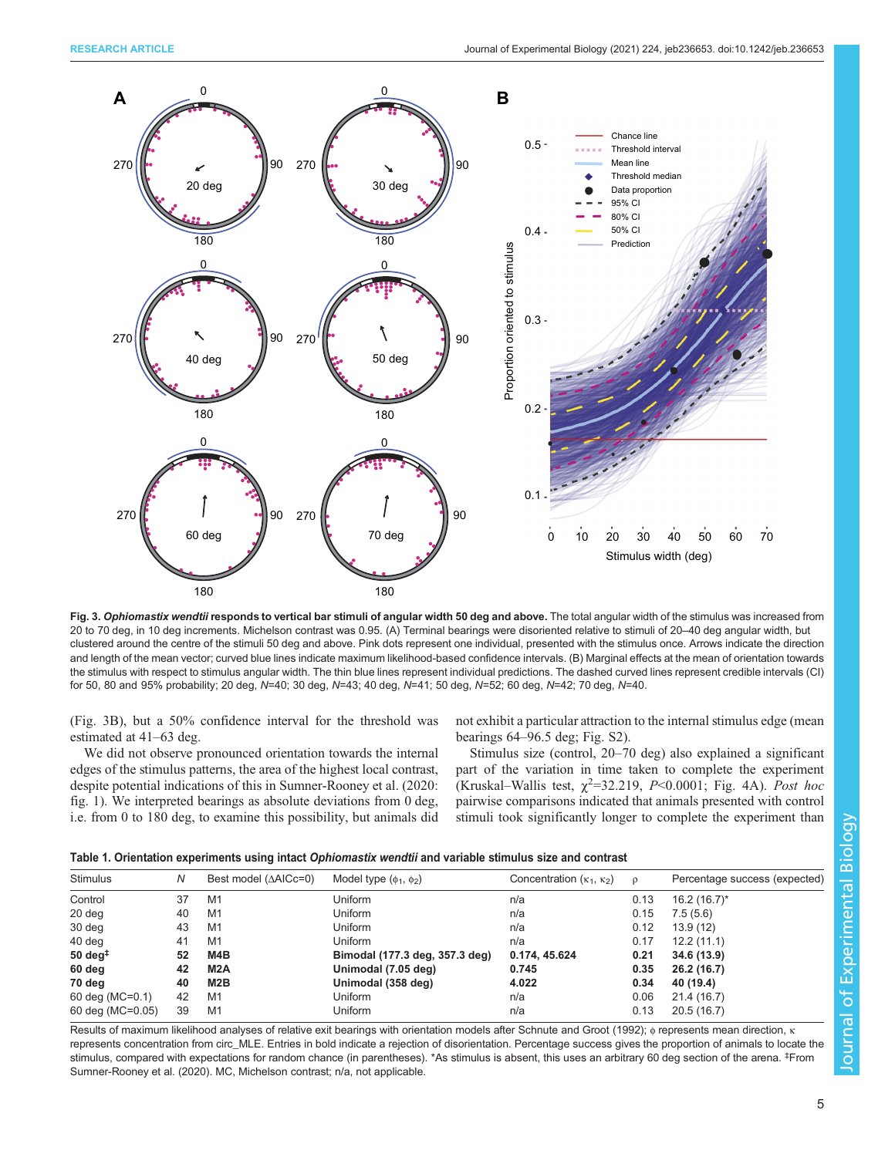<span id="page-4-0"></span>

Fig. 3. Ophiomastix wendtii responds to vertical bar stimuli of angular width 50 deg and above. The total angular width of the stimulus was increased from 20 to 70 deg, in 10 deg increments. Michelson contrast was 0.95. (A) Terminal bearings were disoriented relative to stimuli of 20–40 deg angular width, but clustered around the centre of the stimuli 50 deg and above. Pink dots represent one individual, presented with the stimulus once. Arrows indicate the direction and length of the mean vector; curved blue lines indicate maximum likelihood-based confidence intervals. (B) Marginal effects at the mean of orientation towards the stimulus with respect to stimulus angular width. The thin blue lines represent individual predictions. The dashed curved lines represent credible intervals (CI) for 50, 80 and 95% probability; 20 deg, N=40; 30 deg, N=43; 40 deg, N=41; 50 deg, N=52; 60 deg, N=42; 70 deg, N=40.

(Fig. 3B), but a 50% confidence interval for the threshold was estimated at 41–63 deg.

We did not observe pronounced orientation towards the internal edges of the stimulus patterns, the area of the highest local contrast, despite potential indications of this in [Sumner-Rooney et al. \(2020](#page-10-0): fig. 1). We interpreted bearings as absolute deviations from 0 deg, i.e. from 0 to 180 deg, to examine this possibility, but animals did not exhibit a particular attraction to the internal stimulus edge (mean bearings 64–96.5 deg; Fig. S2).

Stimulus size (control, 20–70 deg) also explained a significant part of the variation in time taken to complete the experiment (Kruskal–Wallis test,  $\chi^2$ =32.219, P<0.0001; [Fig. 4A](#page-5-0)). Post hoc pairwise comparisons indicated that animals presented with control stimuli took significantly longer to complete the experiment than

| <b>Stimulus</b>             | N  | Best model $(AAICc=0)$ | Model type $(\phi_1, \phi_2)$  | Concentration $(\kappa_1, \kappa_2)$ | $\mathsf{D}$ | Percentage success (expected) |
|-----------------------------|----|------------------------|--------------------------------|--------------------------------------|--------------|-------------------------------|
| Control                     | 37 | M1                     | Uniform                        | n/a                                  | 0.13         | $16.2(16.7)^{*}$              |
| 20 deg                      | 40 | M1                     | Uniform                        | n/a                                  | 0.15         | 7.5(5.6)                      |
| 30 deg                      | 43 | M1                     | Uniform                        | n/a                                  | 0.12         | 13.9(12)                      |
| 40 deg                      | 41 | M <sub>1</sub>         | Uniform                        | n/a                                  | 0.17         | 12.2(11.1)                    |
| $50 \text{ deg}^{\ddagger}$ | 52 | M4B                    | Bimodal (177.3 deg, 357.3 deg) | 0.174, 45.624                        | 0.21         | 34.6 (13.9)                   |
| 60 deg                      | 42 | M <sub>2</sub> A       | Unimodal (7.05 deg)            | 0.745                                | 0.35         | 26.2 (16.7)                   |
| 70 deg                      | 40 | M2B                    | Unimodal (358 deg)             | 4.022                                | 0.34         | 40 (19.4)                     |
| 60 deg (MC=0.1)             | 42 | M1                     | Uniform                        | n/a                                  | 0.06         | 21.4 (16.7)                   |
| 60 deg (MC=0.05)            | 39 | M1                     | Uniform                        | n/a                                  | 0.13         | 20.5(16.7)                    |

Results of maximum likelihood analyses of relative exit bearings with orientation models after [Schnute and Groot \(1992\);](#page-10-0) φ represents mean direction, κ represents concentration from circ\_MLE. Entries in bold indicate a rejection of disorientation. Percentage success gives the proportion of animals to locate the stimulus, compared with expectations for random chance (in parentheses). \*As stimulus is absent, this uses an arbitrary 60 deg section of the arena. <sup>‡</sup>From [Sumner-Rooney et al. \(2020\)](#page-10-0). MC, Michelson contrast; n/a, not applicable.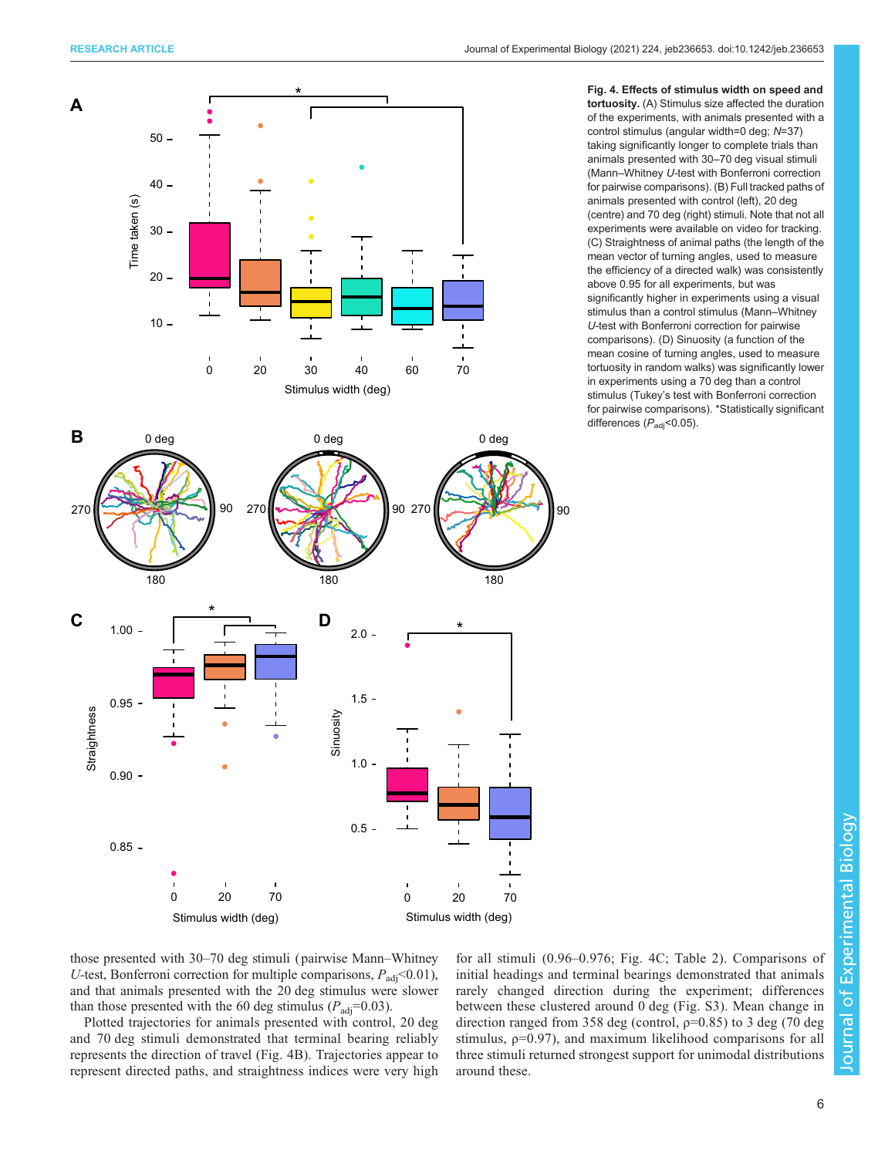<span id="page-5-0"></span>

Fig. 4. Effects of stimulus width on speed and tortuosity. (A) Stimulus size affected the duration of the experiments, with animals presented with a control stimulus (angular width=0 deg; N=37) taking significantly longer to complete trials than animals presented with 30–70 deg visual stimuli (Mann–Whitney U-test with Bonferroni correction for pairwise comparisons). (B) Full tracked paths of animals presented with control (left), 20 deg (centre) and 70 deg (right) stimuli. Note that not all experiments were available on video for tracking. (C) Straightness of animal paths (the length of the mean vector of turning angles, used to measure the efficiency of a directed walk) was consistently above 0.95 for all experiments, but was significantly higher in experiments using a visual stimulus than a control stimulus (Mann–Whitney U-test with Bonferroni correction for pairwise comparisons). (D) Sinuosity (a function of the mean cosine of turning angles, used to measure tortuosity in random walks) was significantly lower in experiments using a 70 deg than a control stimulus (Tukey's test with Bonferroni correction for pairwise comparisons). \*Statistically significant differences  $(P_{\text{adj}}<0.05)$ .

those presented with 30–70 deg stimuli ( pairwise Mann–Whitney U-test, Bonferroni correction for multiple comparisons,  $P_{\text{adj}}$  < 0.01), and that animals presented with the 20 deg stimulus were slower than those presented with the 60 deg stimulus ( $P_{\text{adj}}=0.03$ ).

Plotted trajectories for animals presented with control, 20 deg and 70 deg stimuli demonstrated that terminal bearing reliably represents the direction of travel (Fig. 4B). Trajectories appear to represent directed paths, and straightness indices were very high for all stimuli (0.96–0.976; Fig. 4C; [Table 2](#page-6-0)). Comparisons of initial headings and terminal bearings demonstrated that animals rarely changed direction during the experiment; differences between these clustered around 0 deg (Fig. S3). Mean change in direction ranged from 358 deg (control,  $p=0.85$ ) to 3 deg (70 deg stimulus,  $p=0.97$ ), and maximum likelihood comparisons for all three stimuli returned strongest support for unimodal distributions around these.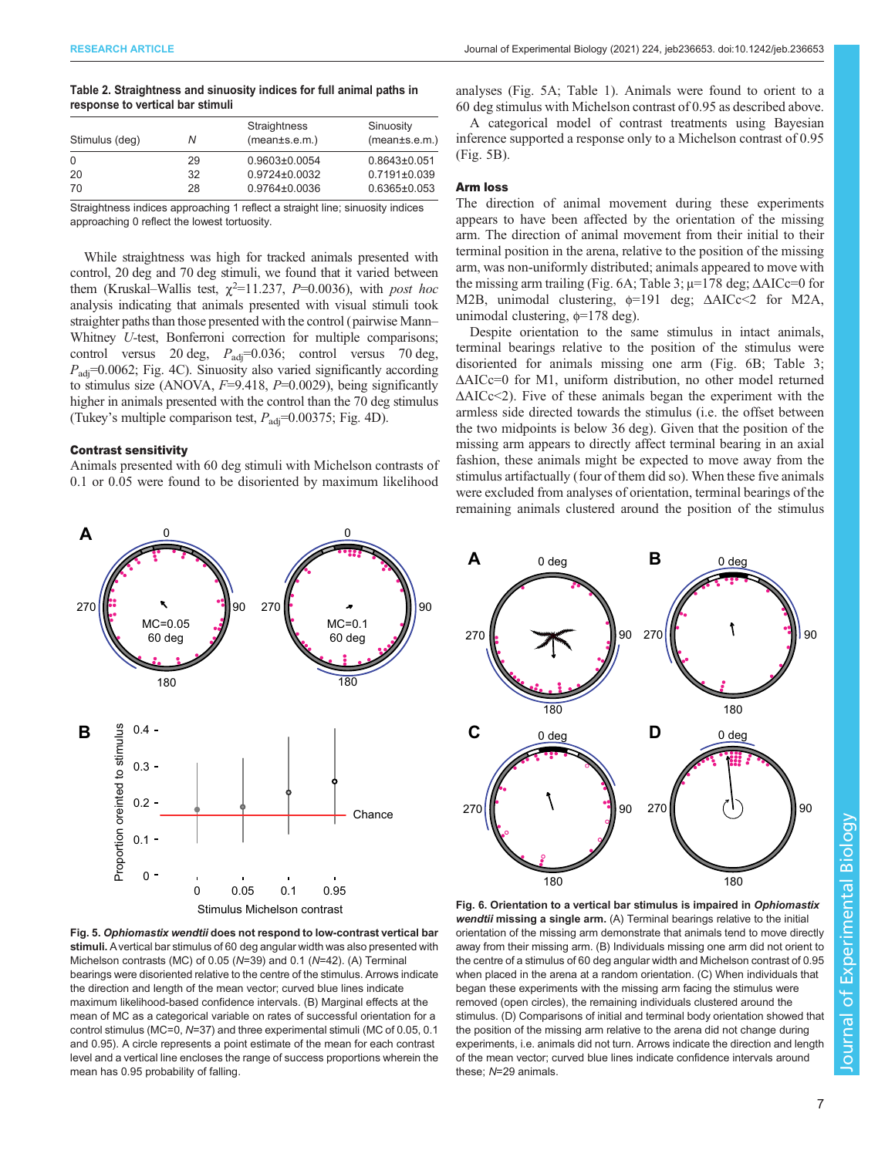#### <span id="page-6-0"></span>Table 2. Straightness and sinuosity indices for full animal paths in response to vertical bar stimuli

| Stimulus (deg) | Ν  | Straightness<br>(mean±s.e.m.) | Sinuosity<br>(mean±s.e.m.) |
|----------------|----|-------------------------------|----------------------------|
| $\Omega$       | 29 | $0.9603 \pm 0.0054$           | $0.8643\pm0.051$           |
| 20             | 32 | $0.9724 \pm 0.0032$           | $0.7191 \pm 0.039$         |
| 70             | 28 | 0.9764±0.0036                 | $0.6365 \pm 0.053$         |

Straightness indices approaching 1 reflect a straight line; sinuosity indices approaching 0 reflect the lowest tortuosity.

While straightness was high for tracked animals presented with control, 20 deg and 70 deg stimuli, we found that it varied between them (Kruskal–Wallis test,  $\chi^2$ =11.237, P=0.0036), with post hoc analysis indicating that animals presented with visual stimuli took straighter paths than those presented with the control (pairwise Mann– Whitney U-test, Bonferroni correction for multiple comparisons; control versus 20 deg,  $P_{\text{adj}}=0.036$ ; control versus 70 deg,  $P_{\text{adj}}$ =0.0062; [Fig. 4](#page-5-0)C). Sinuosity also varied significantly according to stimulus size (ANOVA,  $F=9.418$ ,  $P=0.0029$ ), being significantly higher in animals presented with the control than the 70 deg stimulus (Tukey's multiple comparison test,  $P_{\text{adj}}=0.00375$ ; [Fig. 4](#page-5-0)D).

# Contrast sensitivity

Animals presented with 60 deg stimuli with Michelson contrasts of 0.1 or 0.05 were found to be disoriented by maximum likelihood analyses (Fig. 5A; [Table 1\)](#page-4-0). Animals were found to orient to a 60 deg stimulus with Michelson contrast of 0.95 as described above.

A categorical model of contrast treatments using Bayesian inference supported a response only to a Michelson contrast of 0.95 (Fig. 5B).

#### Arm loss

The direction of animal movement during these experiments appears to have been affected by the orientation of the missing arm. The direction of animal movement from their initial to their terminal position in the arena, relative to the position of the missing arm, was non-uniformly distributed; animals appeared to move with the missing arm trailing (Fig. 6A; [Table 3;](#page-7-0)  $\mu$ =178 deg;  $\Delta$ AICc=0 for M2B, unimodal clustering, φ=191 deg; ΔAICc<2 for M2A, unimodal clustering, φ=178 deg).

Despite orientation to the same stimulus in intact animals, terminal bearings relative to the position of the stimulus were disoriented for animals missing one arm (Fig. 6B; [Table 3](#page-7-0); ΔAICc=0 for M1, uniform distribution, no other model returned  $\Delta AICc \leq 2$ ). Five of these animals began the experiment with the armless side directed towards the stimulus (i.e. the offset between the two midpoints is below 36 deg). Given that the position of the missing arm appears to directly affect terminal bearing in an axial fashion, these animals might be expected to move away from the stimulus artifactually (four of them did so). When these five animals were excluded from analyses of orientation, terminal bearings of the remaining animals clustered around the position of the stimulus





Fig. 5. Ophiomastix wendtii does not respond to low-contrast vertical bar stimuli. A vertical bar stimulus of 60 deg angular width was also presented with Michelson contrasts (MC) of 0.05 (N=39) and 0.1 (N=42). (A) Terminal bearings were disoriented relative to the centre of the stimulus. Arrows indicate the direction and length of the mean vector; curved blue lines indicate maximum likelihood-based confidence intervals. (B) Marginal effects at the mean of MC as a categorical variable on rates of successful orientation for a control stimulus (MC=0, N=37) and three experimental stimuli (MC of 0.05, 0.1 and 0.95). A circle represents a point estimate of the mean for each contrast level and a vertical line encloses the range of success proportions wherein the mean has 0.95 probability of falling.

Fig. 6. Orientation to a vertical bar stimulus is impaired in Ophiomastix wendtii missing a single arm. (A) Terminal bearings relative to the initial orientation of the missing arm demonstrate that animals tend to move directly away from their missing arm. (B) Individuals missing one arm did not orient to the centre of a stimulus of 60 deg angular width and Michelson contrast of 0.95 when placed in the arena at a random orientation. (C) When individuals that began these experiments with the missing arm facing the stimulus were removed (open circles), the remaining individuals clustered around the stimulus. (D) Comparisons of initial and terminal body orientation showed that the position of the missing arm relative to the arena did not change during experiments, i.e. animals did not turn. Arrows indicate the direction and length of the mean vector; curved blue lines indicate confidence intervals around these; N=29 animals.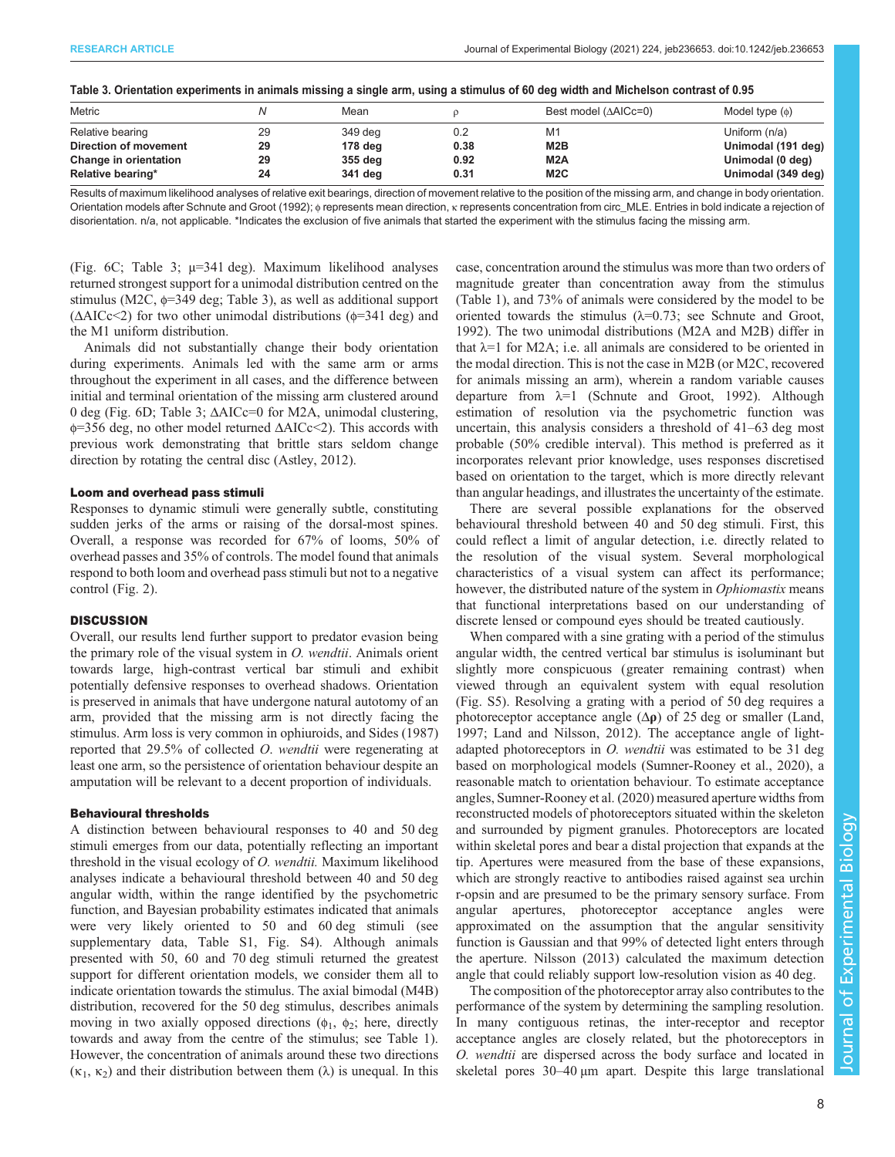| Table of Orlehanon experiments in animals missing a single anni asing a sumalas of oo acg widin and microscon contrast or 0.00 |    |         |      |                        |                     |  |  |  |  |  |  |  |  |
|--------------------------------------------------------------------------------------------------------------------------------|----|---------|------|------------------------|---------------------|--|--|--|--|--|--|--|--|
| Metric                                                                                                                         |    | Mean    |      | Best model $(AAICc=0)$ | Model type $(\phi)$ |  |  |  |  |  |  |  |  |
| Relative bearing                                                                                                               | 29 | 349 deg |      | M1                     | Uniform (n/a)       |  |  |  |  |  |  |  |  |
| Direction of movement                                                                                                          | 29 | 178 deg | 0.38 | M <sub>2</sub> B       | Unimodal (191 deg)  |  |  |  |  |  |  |  |  |

Change in orientation 29 355 deg 0.92 M2A Unimodal (0 deg) Relative bearing\* The Case of the Case of the Case of the State of the Case of the Case of the Case of the Case of the Case of the Case of the Case of the Case of the Case of the Case of the Case of the Case of the Case of

<span id="page-7-0"></span>

| Table 3. Orientation experiments in animals missing a single arm, using a stimulus of 60 deg width and Michelson contrast of 0.95 |  |  |  |  |  |  |  |  |  |  |  |  |  |  |  |  |  |  |  |  |  |  |  |  |  |  |  |  |  |  |  |  |  |
|-----------------------------------------------------------------------------------------------------------------------------------|--|--|--|--|--|--|--|--|--|--|--|--|--|--|--|--|--|--|--|--|--|--|--|--|--|--|--|--|--|--|--|--|--|
|                                                                                                                                   |  |  |  |  |  |  |  |  |  |  |  |  |  |  |  |  |  |  |  |  |  |  |  |  |  |  |  |  |  |  |  |  |  |
|                                                                                                                                   |  |  |  |  |  |  |  |  |  |  |  |  |  |  |  |  |  |  |  |  |  |  |  |  |  |  |  |  |  |  |  |  |  |

Results of maximum likelihood analyses of relative exit bearings, direction of movement relative to the position of the missing arm, and change in body orientation. Orientation models after [Schnute and Groot \(1992\)](#page-10-0); φ represents mean direction, κ represents concentration from circ\_MLE. Entries in bold indicate a rejection of disorientation. n/a, not applicable. \*Indicates the exclusion of five animals that started the experiment with the stimulus facing the missing arm.

[\(Fig. 6](#page-6-0)C; Table 3; µ=341 deg). Maximum likelihood analyses returned strongest support for a unimodal distribution centred on the stimulus (M2C, φ=349 deg; Table 3), as well as additional support ( $\triangle AICc \leq 2$ ) for two other unimodal distributions ( $\phi$ =341 deg) and the M1 uniform distribution.

Animals did not substantially change their body orientation during experiments. Animals led with the same arm or arms throughout the experiment in all cases, and the difference between initial and terminal orientation of the missing arm clustered around 0 deg ([Fig. 6](#page-6-0)D; Table 3; ΔAICc=0 for M2A, unimodal clustering, φ=356 deg, no other model returned ΔAICc<2). This accords with previous work demonstrating that brittle stars seldom change direction by rotating the central disc ([Astley, 2012\)](#page-10-0).

#### Loom and overhead pass stimuli

Responses to dynamic stimuli were generally subtle, constituting sudden jerks of the arms or raising of the dorsal-most spines. Overall, a response was recorded for 67% of looms, 50% of overhead passes and 35% of controls. The model found that animals respond to both loom and overhead pass stimuli but not to a negative control [\(Fig. 2\)](#page-3-0).

# **DISCUSSION**

Overall, our results lend further support to predator evasion being the primary role of the visual system in  $O$ . wendtii. Animals orient towards large, high-contrast vertical bar stimuli and exhibit potentially defensive responses to overhead shadows. Orientation is preserved in animals that have undergone natural autotomy of an arm, provided that the missing arm is not directly facing the stimulus. Arm loss is very common in ophiuroids, and [Sides \(1987\)](#page-10-0) reported that 29.5% of collected O. wendtii were regenerating at least one arm, so the persistence of orientation behaviour despite an amputation will be relevant to a decent proportion of individuals.

#### Behavioural thresholds

A distinction between behavioural responses to 40 and 50 deg stimuli emerges from our data, potentially reflecting an important threshold in the visual ecology of O. wendtii. Maximum likelihood analyses indicate a behavioural threshold between 40 and 50 deg angular width, within the range identified by the psychometric function, and Bayesian probability estimates indicated that animals were very likely oriented to 50 and 60 deg stimuli (see supplementary data, Table S1, Fig. S4). Although animals presented with 50, 60 and 70 deg stimuli returned the greatest support for different orientation models, we consider them all to indicate orientation towards the stimulus. The axial bimodal (M4B) distribution, recovered for the 50 deg stimulus, describes animals moving in two axially opposed directions ( $\phi_1$ ,  $\phi_2$ ; here, directly towards and away from the centre of the stimulus; see [Table 1\)](#page-4-0). However, the concentration of animals around these two directions  $(\kappa_1, \kappa_2)$  and their distribution between them  $(\lambda)$  is unequal. In this

case, concentration around the stimulus was more than two orders of magnitude greater than concentration away from the stimulus [\(Table 1\)](#page-4-0), and 73% of animals were considered by the model to be oriented towards the stimulus  $(\lambda=0.73)$ ; see [Schnute and Groot,](#page-10-0) [1992\)](#page-10-0). The two unimodal distributions (M2A and M2B) differ in that  $\lambda = 1$  for M2A; i.e. all animals are considered to be oriented in the modal direction. This is not the case in M2B (or M2C, recovered for animals missing an arm), wherein a random variable causes departure from  $\lambda=1$  ([Schnute and Groot, 1992](#page-10-0)). Although estimation of resolution via the psychometric function was uncertain, this analysis considers a threshold of 41–63 deg most probable (50% credible interval). This method is preferred as it incorporates relevant prior knowledge, uses responses discretised based on orientation to the target, which is more directly relevant than angular headings, and illustrates the uncertainty of the estimate.

There are several possible explanations for the observed behavioural threshold between 40 and 50 deg stimuli. First, this could reflect a limit of angular detection, i.e. directly related to the resolution of the visual system. Several morphological characteristics of a visual system can affect its performance; however, the distributed nature of the system in *Ophiomastix* means that functional interpretations based on our understanding of discrete lensed or compound eyes should be treated cautiously.

When compared with a sine grating with a period of the stimulus angular width, the centred vertical bar stimulus is isoluminant but slightly more conspicuous (greater remaining contrast) when viewed through an equivalent system with equal resolution (Fig. S5). Resolving a grating with a period of 50 deg requires a photoreceptor acceptance angle  $(\Delta \rho)$  of 25 deg or smaller [\(Land,](#page-10-0) [1997; Land and Nilsson, 2012\)](#page-10-0). The acceptance angle of lightadapted photoreceptors in *O. wendtii* was estimated to be 31 deg based on morphological models [\(Sumner-Rooney et al., 2020\)](#page-10-0), a reasonable match to orientation behaviour. To estimate acceptance angles, [Sumner-Rooney et al. \(2020\)](#page-10-0) measured aperture widths from reconstructed models of photoreceptors situated within the skeleton and surrounded by pigment granules. Photoreceptors are located within skeletal pores and bear a distal projection that expands at the tip. Apertures were measured from the base of these expansions, which are strongly reactive to antibodies raised against sea urchin r-opsin and are presumed to be the primary sensory surface. From angular apertures, photoreceptor acceptance angles were approximated on the assumption that the angular sensitivity function is Gaussian and that 99% of detected light enters through the aperture. [Nilsson \(2013\)](#page-10-0) calculated the maximum detection angle that could reliably support low-resolution vision as 40 deg.

The composition of the photoreceptor array also contributes to the performance of the system by determining the sampling resolution. In many contiguous retinas, the inter-receptor and receptor acceptance angles are closely related, but the photoreceptors in O. wendtii are dispersed across the body surface and located in skeletal pores 30–40 µm apart. Despite this large translational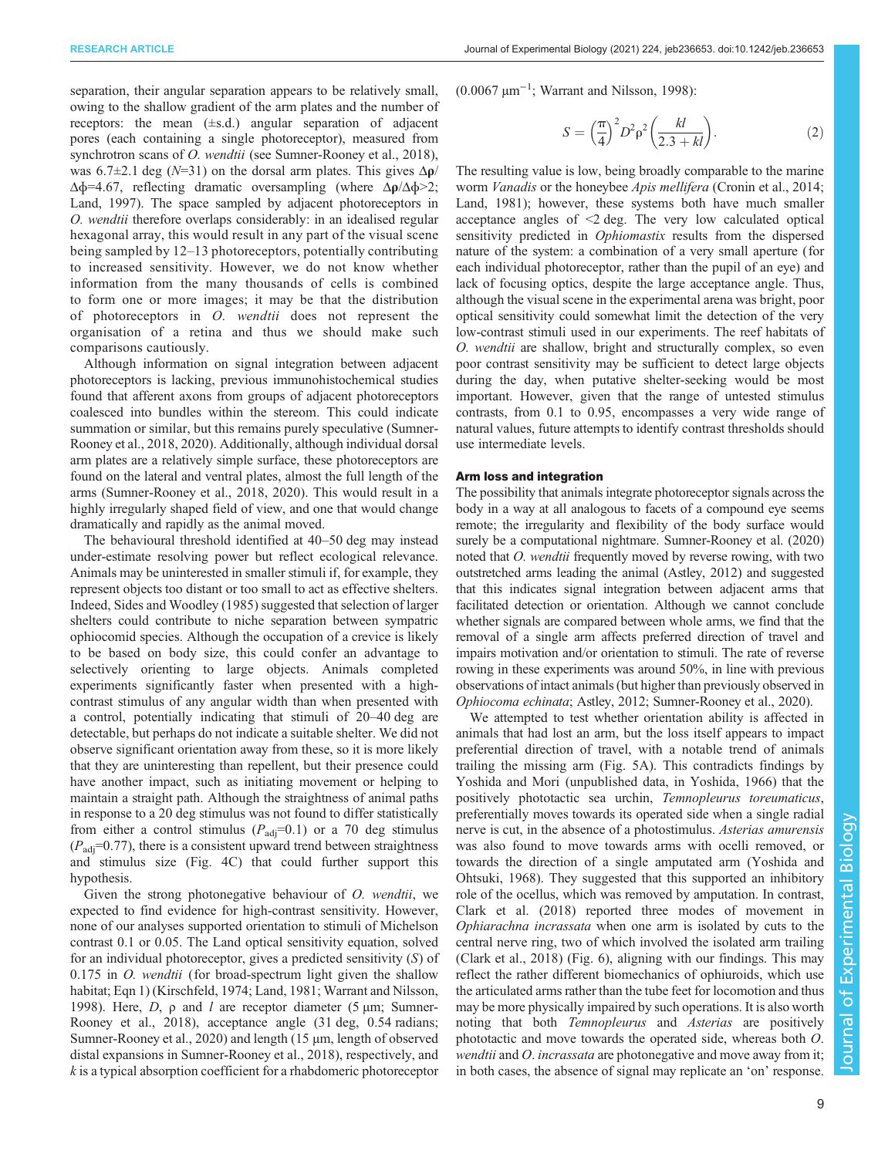separation, their angular separation appears to be relatively small, owing to the shallow gradient of the arm plates and the number of receptors: the mean (±s.d.) angular separation of adjacent pores (each containing a single photoreceptor), measured from synchrotron scans of *O. wendtii* (see [Sumner-Rooney et al., 2018\)](#page-10-0), was 6.7 $\pm$ 2.1 deg (N=31) on the dorsal arm plates. This gives  $\Delta \rho$ /  $\Delta\phi$ =4.67, reflecting dramatic oversampling (where  $\Delta\rho/\Delta\phi$ >2; [Land, 1997](#page-10-0)). The space sampled by adjacent photoreceptors in O. wendtii therefore overlaps considerably: in an idealised regular hexagonal array, this would result in any part of the visual scene being sampled by 12–13 photoreceptors, potentially contributing to increased sensitivity. However, we do not know whether information from the many thousands of cells is combined to form one or more images; it may be that the distribution of photoreceptors in O. wendtii does not represent the organisation of a retina and thus we should make such comparisons cautiously.

Although information on signal integration between adjacent photoreceptors is lacking, previous immunohistochemical studies found that afferent axons from groups of adjacent photoreceptors coalesced into bundles within the stereom. This could indicate summation or similar, but this remains purely speculative ([Sumner-](#page-10-0)[Rooney et al., 2018, 2020\)](#page-10-0). Additionally, although individual dorsal arm plates are a relatively simple surface, these photoreceptors are found on the lateral and ventral plates, almost the full length of the arms ([Sumner-Rooney et al., 2018, 2020\)](#page-10-0). This would result in a highly irregularly shaped field of view, and one that would change dramatically and rapidly as the animal moved.

The behavioural threshold identified at 40–50 deg may instead under-estimate resolving power but reflect ecological relevance. Animals may be uninterested in smaller stimuli if, for example, they represent objects too distant or too small to act as effective shelters. Indeed, [Sides and Woodley \(1985\)](#page-10-0) suggested that selection of larger shelters could contribute to niche separation between sympatric ophiocomid species. Although the occupation of a crevice is likely to be based on body size, this could confer an advantage to selectively orienting to large objects. Animals completed experiments significantly faster when presented with a highcontrast stimulus of any angular width than when presented with a control, potentially indicating that stimuli of 20–40 deg are detectable, but perhaps do not indicate a suitable shelter. We did not observe significant orientation away from these, so it is more likely that they are uninteresting than repellent, but their presence could have another impact, such as initiating movement or helping to maintain a straight path. Although the straightness of animal paths in response to a 20 deg stimulus was not found to differ statistically from either a control stimulus ( $P_{\text{adi}}=0.1$ ) or a 70 deg stimulus  $(P_{\text{adi}}=0.77)$ , there is a consistent upward trend between straightness and stimulus size [\(Fig. 4](#page-5-0)C) that could further support this hypothesis.

Given the strong photonegative behaviour of O. wendtii, we expected to find evidence for high-contrast sensitivity. However, none of our analyses supported orientation to stimuli of Michelson contrast 0.1 or 0.05. The Land optical sensitivity equation, solved for an individual photoreceptor, gives a predicted sensitivity (S) of 0.175 in O. wendtii (for broad-spectrum light given the shallow habitat; Eqn 1) [\(Kirschfeld, 1974](#page-10-0); [Land, 1981](#page-10-0); [Warrant and Nilsson,](#page-10-0) [1998](#page-10-0)). Here, D,  $ρ$  and l are receptor diameter (5 μm; [Sumner-](#page-10-0)[Rooney et al., 2018](#page-10-0)), acceptance angle (31 deg, 0.54 radians; [Sumner-Rooney et al., 2020\)](#page-10-0) and length (15  $\mu$ m, length of observed distal expansions in [Sumner-Rooney et al., 2018](#page-10-0)), respectively, and k is a typical absorption coefficient for a rhabdomeric photoreceptor

(0.0067 µm−<sup>1</sup> ; [Warrant and Nilsson, 1998](#page-10-0)):

$$
S = \left(\frac{\pi}{4}\right)^2 D^2 \rho^2 \left(\frac{kl}{2.3 + kl}\right). \tag{2}
$$

The resulting value is low, being broadly comparable to the marine worm Vanadis or the honeybee Apis mellifera ([Cronin et al., 2014](#page-10-0); [Land, 1981\)](#page-10-0); however, these systems both have much smaller acceptance angles of <2 deg. The very low calculated optical sensitivity predicted in *Ophiomastix* results from the dispersed nature of the system: a combination of a very small aperture (for each individual photoreceptor, rather than the pupil of an eye) and lack of focusing optics, despite the large acceptance angle. Thus, although the visual scene in the experimental arena was bright, poor optical sensitivity could somewhat limit the detection of the very low-contrast stimuli used in our experiments. The reef habitats of O. wendtii are shallow, bright and structurally complex, so even poor contrast sensitivity may be sufficient to detect large objects during the day, when putative shelter-seeking would be most important. However, given that the range of untested stimulus contrasts, from 0.1 to 0.95, encompasses a very wide range of natural values, future attempts to identify contrast thresholds should use intermediate levels.

# Arm loss and integration

The possibility that animals integrate photoreceptor signals across the body in a way at all analogous to facets of a compound eye seems remote; the irregularity and flexibility of the body surface would surely be a computational nightmare. [Sumner-Rooney et al. \(2020\)](#page-10-0) noted that O. wendtii frequently moved by reverse rowing, with two outstretched arms leading the animal [\(Astley, 2012\)](#page-10-0) and suggested that this indicates signal integration between adjacent arms that facilitated detection or orientation. Although we cannot conclude whether signals are compared between whole arms, we find that the removal of a single arm affects preferred direction of travel and impairs motivation and/or orientation to stimuli. The rate of reverse rowing in these experiments was around 50%, in line with previous observations of intact animals (but higher than previously observed in Ophiocoma echinata; [Astley, 2012; Sumner-Rooney et al., 2020](#page-10-0)).

We attempted to test whether orientation ability is affected in animals that had lost an arm, but the loss itself appears to impact preferential direction of travel, with a notable trend of animals trailing the missing arm ([Fig. 5](#page-6-0)A). This contradicts findings by Yoshida and Mori (unpublished data, in [Yoshida, 1966](#page-11-0)) that the positively phototactic sea urchin, Temnopleurus toreumaticus, preferentially moves towards its operated side when a single radial nerve is cut, in the absence of a photostimulus. Asterias amurensis was also found to move towards arms with ocelli removed, or towards the direction of a single amputated arm [\(Yoshida and](#page-11-0) [Ohtsuki, 1968\)](#page-11-0). They suggested that this supported an inhibitory role of the ocellus, which was removed by amputation. In contrast, [Clark et al. \(2018\)](#page-10-0) reported three modes of movement in Ophiarachna incrassata when one arm is isolated by cuts to the central nerve ring, two of which involved the isolated arm trailing [\(Clark et al., 2018](#page-10-0)) [\(Fig. 6](#page-6-0)), aligning with our findings. This may reflect the rather different biomechanics of ophiuroids, which use the articulated arms rather than the tube feet for locomotion and thus may be more physically impaired by such operations. It is also worth noting that both Temnopleurus and Asterias are positively phototactic and move towards the operated side, whereas both O. wendtii and *O*. incrassata are photonegative and move away from it; in both cases, the absence of signal may replicate an 'on' response.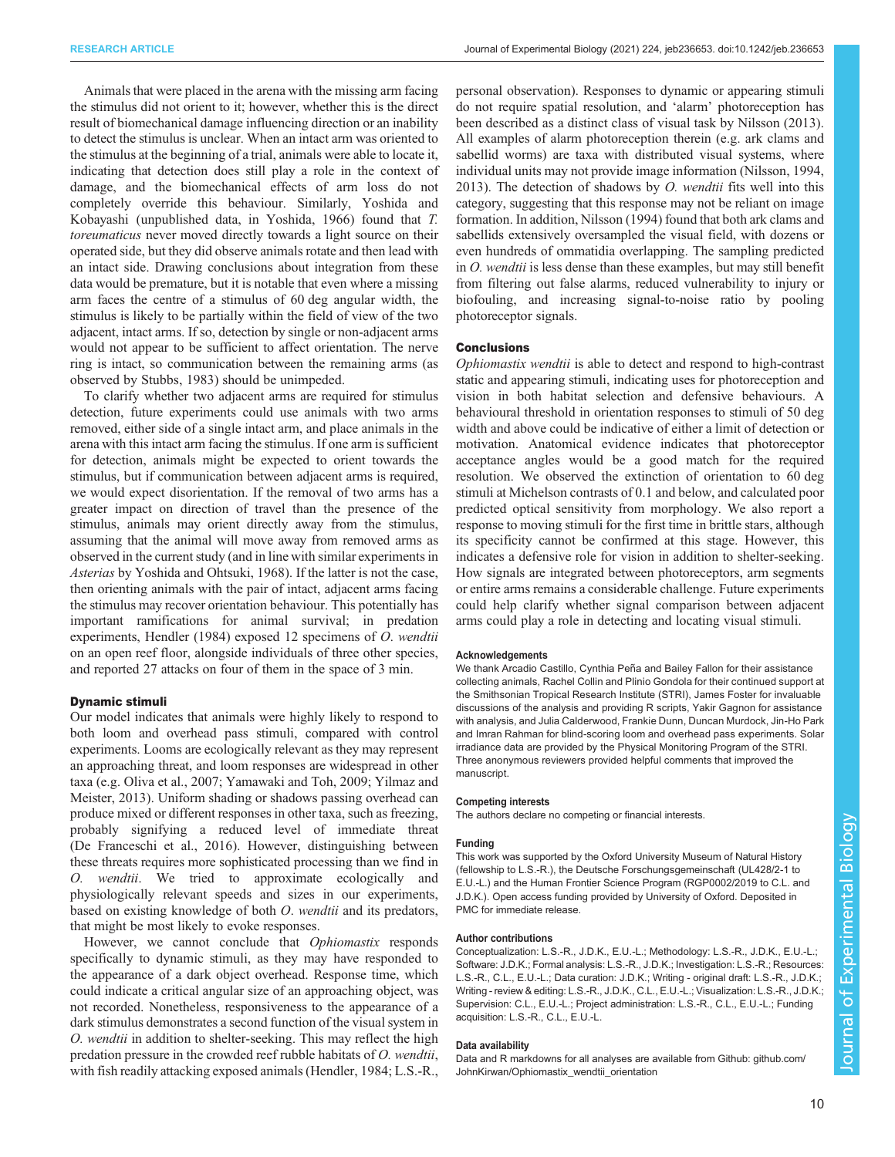Animals that were placed in the arena with the missing arm facing the stimulus did not orient to it; however, whether this is the direct result of biomechanical damage influencing direction or an inability to detect the stimulus is unclear. When an intact arm was oriented to the stimulus at the beginning of a trial, animals were able to locate it, indicating that detection does still play a role in the context of damage, and the biomechanical effects of arm loss do not completely override this behaviour. Similarly, Yoshida and Kobayashi (unpublished data, in [Yoshida, 1966\)](#page-11-0) found that T. toreumaticus never moved directly towards a light source on their operated side, but they did observe animals rotate and then lead with an intact side. Drawing conclusions about integration from these data would be premature, but it is notable that even where a missing arm faces the centre of a stimulus of 60 deg angular width, the stimulus is likely to be partially within the field of view of the two adjacent, intact arms. If so, detection by single or non-adjacent arms would not appear to be sufficient to affect orientation. The nerve ring is intact, so communication between the remaining arms (as observed by [Stubbs, 1983\)](#page-10-0) should be unimpeded.

To clarify whether two adjacent arms are required for stimulus detection, future experiments could use animals with two arms removed, either side of a single intact arm, and place animals in the arena with this intact arm facing the stimulus. If one arm is sufficient for detection, animals might be expected to orient towards the stimulus, but if communication between adjacent arms is required, we would expect disorientation. If the removal of two arms has a greater impact on direction of travel than the presence of the stimulus, animals may orient directly away from the stimulus, assuming that the animal will move away from removed arms as observed in the current study (and in line with similar experiments in Asterias by [Yoshida and Ohtsuki, 1968\)](#page-11-0). If the latter is not the case, then orienting animals with the pair of intact, adjacent arms facing the stimulus may recover orientation behaviour. This potentially has important ramifications for animal survival; in predation experiments, [Hendler \(1984\)](#page-10-0) exposed 12 specimens of O. wendtii on an open reef floor, alongside individuals of three other species, and reported 27 attacks on four of them in the space of 3 min.

# Dynamic stimuli

Our model indicates that animals were highly likely to respond to both loom and overhead pass stimuli, compared with control experiments. Looms are ecologically relevant as they may represent an approaching threat, and loom responses are widespread in other taxa (e.g. [Oliva et al., 2007; Yamawaki and Toh, 2009;](#page-10-0) [Yilmaz and](#page-11-0) [Meister, 2013](#page-11-0)). Uniform shading or shadows passing overhead can produce mixed or different responses in other taxa, such as freezing, probably signifying a reduced level of immediate threat (De Franceschi et al., 2016). However, distinguishing between these threats requires more sophisticated processing than we find in O. wendtii. We tried to approximate ecologically and physiologically relevant speeds and sizes in our experiments, based on existing knowledge of both O. wendtii and its predators, that might be most likely to evoke responses.

However, we cannot conclude that Ophiomastix responds specifically to dynamic stimuli, as they may have responded to the appearance of a dark object overhead. Response time, which could indicate a critical angular size of an approaching object, was not recorded. Nonetheless, responsiveness to the appearance of a dark stimulus demonstrates a second function of the visual system in O. wendtii in addition to shelter-seeking. This may reflect the high predation pressure in the crowded reef rubble habitats of O. wendtii, with fish readily attacking exposed animals [\(Hendler, 1984;](#page-10-0) L.S.-R.,

personal observation). Responses to dynamic or appearing stimuli do not require spatial resolution, and 'alarm' photoreception has been described as a distinct class of visual task by [Nilsson \(2013\).](#page-10-0) All examples of alarm photoreception therein (e.g. ark clams and sabellid worms) are taxa with distributed visual systems, where individual units may not provide image information [\(Nilsson, 1994,](#page-10-0) [2013\)](#page-10-0). The detection of shadows by  $O$ . wendtii fits well into this category, suggesting that this response may not be reliant on image formation. In addition, [Nilsson \(1994\)](#page-10-0) found that both ark clams and sabellids extensively oversampled the visual field, with dozens or even hundreds of ommatidia overlapping. The sampling predicted in O. wendtii is less dense than these examples, but may still benefit from filtering out false alarms, reduced vulnerability to injury or biofouling, and increasing signal-to-noise ratio by pooling photoreceptor signals.

#### **Conclusions**

Ophiomastix wendtii is able to detect and respond to high-contrast static and appearing stimuli, indicating uses for photoreception and vision in both habitat selection and defensive behaviours. A behavioural threshold in orientation responses to stimuli of 50 deg width and above could be indicative of either a limit of detection or motivation. Anatomical evidence indicates that photoreceptor acceptance angles would be a good match for the required resolution. We observed the extinction of orientation to 60 deg stimuli at Michelson contrasts of 0.1 and below, and calculated poor predicted optical sensitivity from morphology. We also report a response to moving stimuli for the first time in brittle stars, although its specificity cannot be confirmed at this stage. However, this indicates a defensive role for vision in addition to shelter-seeking. How signals are integrated between photoreceptors, arm segments or entire arms remains a considerable challenge. Future experiments could help clarify whether signal comparison between adjacent arms could play a role in detecting and locating visual stimuli.

#### Acknowledgements

We thank Arcadio Castillo, Cynthia Peña and Bailey Fallon for their assistance collecting animals, Rachel Collin and Plinio Gondola for their continued support at the Smithsonian Tropical Research Institute (STRI), James Foster for invaluable discussions of the analysis and providing R scripts, Yakir Gagnon for assistance with analysis, and Julia Calderwood, Frankie Dunn, Duncan Murdock, Jin-Ho Park and Imran Rahman for blind-scoring loom and overhead pass experiments. Solar irradiance data are provided by the Physical Monitoring Program of the STRI. Three anonymous reviewers provided helpful comments that improved the manuscript.

#### Competing interests

The authors declare no competing or financial interests.

#### Funding

This work was supported by the Oxford University Museum of Natural History (fellowship to L.S.-R.), the Deutsche Forschungsgemeinschaft (UL428/2-1 to E.U.-L.) and the Human Frontier Science Program (RGP0002/2019 to C.L. and J.D.K.). Open access funding provided by University of Oxford. Deposited in PMC for immediate release.

#### Author contributions

Conceptualization: L.S.-R., J.D.K., E.U.-L.; Methodology: L.S.-R., J.D.K., E.U.-L.; Software: J.D.K.; Formal analysis: L.S.-R., J.D.K.; Investigation: L.S.-R.; Resources: L.S.-R., C.L., E.U.-L.; Data curation: J.D.K.; Writing - original draft: L.S.-R., J.D.K.; Writing - review & editing: L.S.-R., J.D.K., C.L., E.U.-L.; Visualization: L.S.-R., J.D.K.; Supervision: C.L., E.U.-L.; Project administration: L.S.-R., C.L., E.U.-L.; Funding acquisition: L.S.-R., C.L., E.U.-L.

#### Data availability

Data and R markdowns for all analyses are available from Github: [github.com/](https://github.com/JohnKirwan/Ophiomastix_wendtii_orientation) [JohnKirwan/Ophiomastix\\_wendtii\\_orientation](https://github.com/JohnKirwan/Ophiomastix_wendtii_orientation)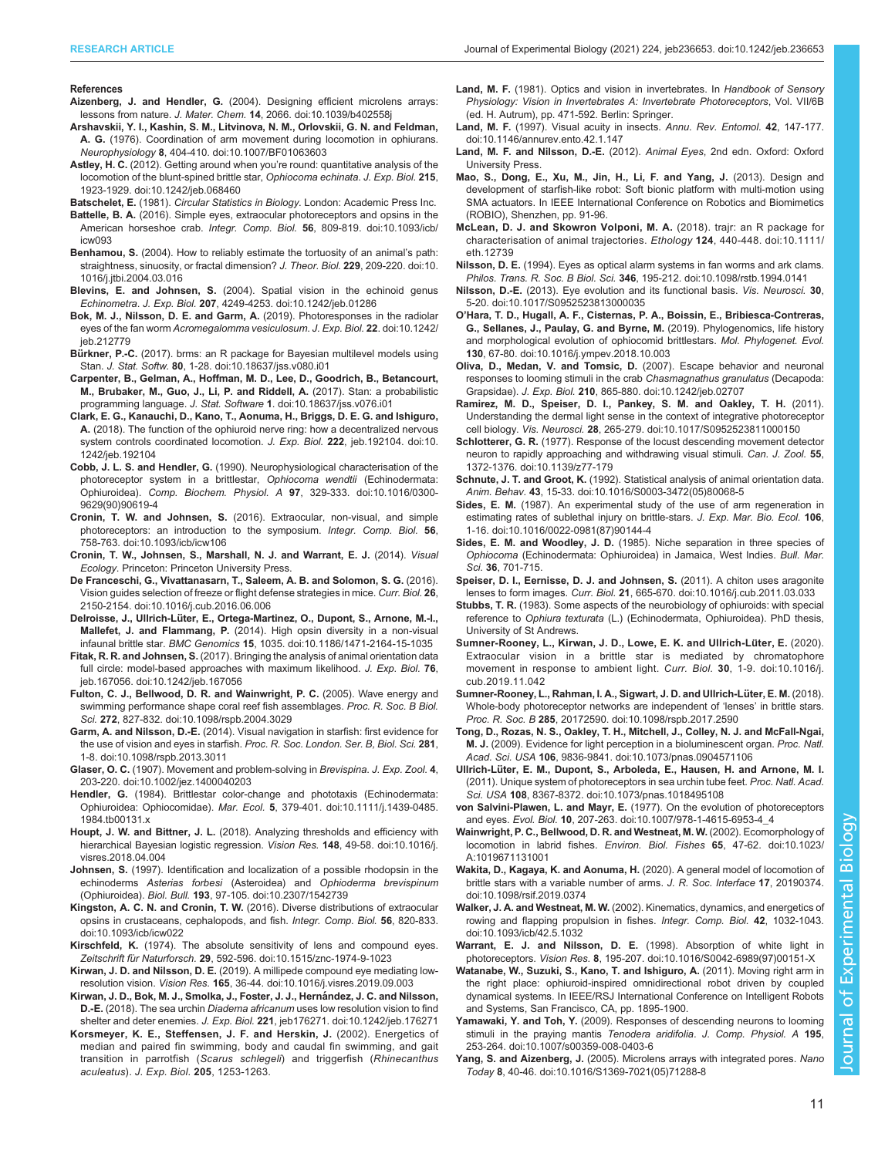#### <span id="page-10-0"></span>References

Aizenberg, J. and Hendler, G. [\(2004\). Designing efficient microlens arrays:](https://doi.org/10.1039/b402558j) lessons from nature. J. Mater. Chem. 14[, 2066. doi:10.1039/b402558j](https://doi.org/10.1039/b402558j)

- [Arshavskii, Y. I., Kashin, S. M., Litvinova, N. M., Orlovskii, G. N. and Feldman,](https://doi.org/10.1007/BF01063603) A. G. [\(1976\). Coordination of arm movement during locomotion in ophiurans.](https://doi.org/10.1007/BF01063603) Neurophysiology 8[, 404-410. doi:10.1007/BF01063603](https://doi.org/10.1007/BF01063603)
- Astley, H. C. (2012). Getting around when you'[re round: quantitative analysis of the](https://doi.org/10.1242/jeb.068460) [locomotion of the blunt-spined brittle star,](https://doi.org/10.1242/jeb.068460) Ophiocoma echinata. J. Exp. Biol. 215, [1923-1929. doi:10.1242/jeb.068460](https://doi.org/10.1242/jeb.068460)
- Batschelet, E. (1981). Circular Statistics in Biology. London: Academic Press Inc.
- Battelle, B. A. [\(2016\). Simple eyes, extraocular photoreceptors and opsins in the](https://doi.org/10.1093/icb/icw093) American horseshoe crab. Integr. Comp. Biol. 56[, 809-819. doi:10.1093/icb/](https://doi.org/10.1093/icb/icw093) [icw093](https://doi.org/10.1093/icb/icw093)
- Benhamou, S. [\(2004\). How to reliably estimate the tortuosity of an animal](https://doi.org/10.1016/j.jtbi.2004.03.016)'s path: [straightness, sinuosity, or fractal dimension?](https://doi.org/10.1016/j.jtbi.2004.03.016) J. Theor. Biol. 229, 209-220. doi:10. [1016/j.jtbi.2004.03.016](https://doi.org/10.1016/j.jtbi.2004.03.016)
- Blevins, E. and Johnsen, S. [\(2004\). Spatial vision in the echinoid genus](https://doi.org/10.1242/jeb.01286) Echinometra. J. Exp. Biol. 207[, 4249-4253. doi:10.1242/jeb.01286](https://doi.org/10.1242/jeb.01286)
- [Bok, M. J., Nilsson, D. E. and Garm, A.](https://doi.org/10.1242/jeb.212779) (2019). Photoresponses in the radiolar eyes of the fan worm [Acromegalomma vesiculosum](https://doi.org/10.1242/jeb.212779). J. Exp. Biol. 22. doi:10.1242/ [jeb.212779](https://doi.org/10.1242/jeb.212779)
- Bürkner, P.-C. [\(2017\). brms: an R package for Bayesian multilevel models using](https://doi.org/10.18637/jss.v080.i01) Stan. J. Stat. Softw. 80[, 1-28. doi:10.18637/jss.v080.i01](https://doi.org/10.18637/jss.v080.i01)
- [Carpenter, B., Gelman, A., Hoffman, M. D., Lee, D., Goodrich, B., Betancourt,](https://doi.org/10.18637/jss.v076.i01) [M., Brubaker, M., Guo, J., Li, P. and Riddell, A.](https://doi.org/10.18637/jss.v076.i01) (2017). Stan: a probabilistic programming language. J. Stat. Software 1[. doi:10.18637/jss.v076.i01](https://doi.org/10.18637/jss.v076.i01)
- [Clark, E. G., Kanauchi, D., Kano, T., Aonuma, H., Briggs, D. E. G. and Ishiguro,](https://doi.org/10.1242/jeb.192104) A. [\(2018\). The function of the ophiuroid nerve ring: how a decentralized nervous](https://doi.org/10.1242/jeb.192104) [system controls coordinated locomotion.](https://doi.org/10.1242/jeb.192104) J. Exp. Biol. 222, jeb.192104. doi:10. [1242/jeb.192104](https://doi.org/10.1242/jeb.192104)
- Cobb, J. L. S. and Hendler, G. [\(1990\). Neurophysiological characterisation of the](https://doi.org/10.1016/0300-9629(90)90619-4) [photoreceptor system in a brittlestar,](https://doi.org/10.1016/0300-9629(90)90619-4) Ophiocoma wendtii (Echinodermata: Ophiuroidea). Comp. Biochem. Physiol. A 97[, 329-333. doi:10.1016/0300-](https://doi.org/10.1016/0300-9629(90)90619-4) [9629\(90\)90619-4](https://doi.org/10.1016/0300-9629(90)90619-4)
- Cronin, T. W. and Johnsen, S. [\(2016\). Extraocular, non-visual, and simple](https://doi.org/10.1093/icb/icw106) [photoreceptors: an introduction to the symposium.](https://doi.org/10.1093/icb/icw106) Integr. Comp. Biol. 56, [758-763. doi:10.1093/icb/icw106](https://doi.org/10.1093/icb/icw106)
- Cronin, T. W., Johnsen, S., Marshall, N. J. and Warrant, E. J. (2014). Visual Ecology. Princeton: Princeton University Press.
- [De Franceschi, G., Vivattanasarn, T., Saleem, A. B. and Solomon, S. G.](https://doi.org/10.1016/j.cub.2016.06.006) (2016). [Vision guides selection of freeze or flight defense strategies in mice.](https://doi.org/10.1016/j.cub.2016.06.006) Curr. Biol. 26, [2150-2154. doi:10.1016/j.cub.2016.06.006](https://doi.org/10.1016/j.cub.2016.06.006)
- Delroisse, J., Ullrich-Lü[ter, E., Ortega-Martinez, O., Dupont, S., Arnone, M.-I.,](https://doi.org/10.1186/1471-2164-15-1035) Mallefet, J. and Flammang, P. [\(2014\). High opsin diversity in a non-visual](https://doi.org/10.1186/1471-2164-15-1035) infaunal brittle star. BMC Genomics 15[, 1035. doi:10.1186/1471-2164-15-1035](https://doi.org/10.1186/1471-2164-15-1035)
- Fitak, R. R. and Johnsen, S. [\(2017\). Bringing the analysis of animal orientation data](https://doi.org/10.1242/jeb.167056) [full circle: model-based approaches with maximum likelihood.](https://doi.org/10.1242/jeb.167056) J. Exp. Biol. 76, [jeb.167056. doi:10.1242/jeb.167056](https://doi.org/10.1242/jeb.167056)
- [Fulton, C. J., Bellwood, D. R. and Wainwright, P. C.](https://doi.org/10.1098/rspb.2004.3029) (2005). Wave energy and [swimming performance shape coral reef fish assemblages.](https://doi.org/10.1098/rspb.2004.3029) Proc. R. Soc. B Biol. Sci. 272[, 827-832. doi:10.1098/rspb.2004.3029](https://doi.org/10.1098/rspb.2004.3029)
- Garm, A. and Nilsson, D.-E. [\(2014\). Visual navigation in starfish: first evidence for](https://doi.org/10.1098/rspb.2013.3011) the use of vision and eyes in starfish. [Proc. R. Soc. London. Ser. B, Biol. Sci.](https://doi.org/10.1098/rspb.2013.3011) 281, [1-8. doi:10.1098/rspb.2013.3011](https://doi.org/10.1098/rspb.2013.3011)
- Glaser, O. C. [\(1907\). Movement and problem-solving in](https://doi.org/10.1002/jez.1400040203) Brevispina. J. Exp. Zool. 4, [203-220. doi:10.1002/jez.1400040203](https://doi.org/10.1002/jez.1400040203)
- Hendler, G. [\(1984\). Brittlestar color-change and phototaxis \(Echinodermata:](https://doi.org/10.1111/j.1439-0485.1984.tb00131.x) Ophiuroidea: Ophiocomidae). Mar. Ecol. 5[, 379-401. doi:10.1111/j.1439-0485.](https://doi.org/10.1111/j.1439-0485.1984.tb00131.x) [1984.tb00131.x](https://doi.org/10.1111/j.1439-0485.1984.tb00131.x)
- Houpt, J. W. and Bittner, J. L. [\(2018\). Analyzing thresholds and efficiency with](https://doi.org/10.1016/j.visres.2018.04.004) [hierarchical Bayesian logistic regression.](https://doi.org/10.1016/j.visres.2018.04.004) Vision Res. 148, 49-58. doi:10.1016/j. [visres.2018.04.004](https://doi.org/10.1016/j.visres.2018.04.004)
- Johnsen, S. [\(1997\). Identification and localization of a possible rhodopsin in the](https://doi.org/10.2307/1542739) echinoderms Asterias forbesi (Asteroidea) and [Ophioderma brevispinum](https://doi.org/10.2307/1542739) (Ophiuroidea). Biol. Bull. 193[, 97-105. doi:10.2307/1542739](https://doi.org/10.2307/1542739)
- Kingston, A. C. N. and Cronin, T. W. [\(2016\). Diverse distributions of extraocular](https://doi.org/10.1093/icb/icw022) [opsins in crustaceans, cephalopods, and fish.](https://doi.org/10.1093/icb/icw022) Integr. Comp. Biol. 56, 820-833. [doi:10.1093/icb/icw022](https://doi.org/10.1093/icb/icw022)
- Kirschfeld, K. [\(1974\). The absolute sensitivity of lens and compound eyes.](https://doi.org/10.1515/znc-1974-9-1023) Zeitschrift für Naturforsch. 29[, 592-596. doi:10.1515/znc-1974-9-1023](https://doi.org/10.1515/znc-1974-9-1023)
- Kirwan, J. D. and Nilsson, D. E. [\(2019\). A millipede compound eye mediating low](https://doi.org/10.1016/j.visres.2019.09.003)resolution vision. Vision Res. 165[, 36-44. doi:10.1016/j.visres.2019.09.003](https://doi.org/10.1016/j.visres.2019.09.003)
- Kirwan, J. D., Bok, M. J., Smolka, J., Foster, J. J., Hernández, J. C. and Nilsson, D.-E. (2018). The sea urchin Diadema africanum [uses low resolution vision to find](https://doi.org/10.1242/jeb.176271) shelter and deter enemies. J. Exp. Biol. 221[, jeb176271. doi:10.1242/jeb.176271](https://doi.org/10.1242/jeb.176271)
- Korsmeyer, K. E., Steffensen, J. F. and Herskin, J. (2002). Energetics of median and paired fin swimming, body and caudal fin swimming, and gait transition in parrotfish (Scarus schlegeli) and triggerfish (Rhinecanthus aculeatus). J. Exp. Biol. 205, 1253-1263.
- Land, M. F. (1981). Optics and vision in invertebrates. In Handbook of Sensory Physiology: Vision in Invertebrates A: Invertebrate Photoreceptors, Vol. VII/6B (ed. H. Autrum), pp. 471-592. Berlin: Springer.
- Land, M. F. [\(1997\). Visual acuity in insects.](https://doi.org/10.1146/annurev.ento.42.1.147) Annu. Rev. Entomol. 42, 147-177. [doi:10.1146/annurev.ento.42.1.147](https://doi.org/10.1146/annurev.ento.42.1.147)
- Land, M. F. and Nilsson, D.-E. (2012). Animal Eyes, 2nd edn. Oxford: Oxford University Press.
- Mao, S., Dong, E., Xu, M., Jin, H., Li, F. and Yang, J. (2013). Design and development of starfish-like robot: Soft bionic platform with multi-motion using SMA actuators. In IEEE International Conference on Robotics and Biomimetics (ROBIO), Shenzhen, pp. 91-96.
- [McLean, D. J. and Skowron Volponi, M. A.](https://doi.org/10.1111/eth.12739) (2018). trajr: an R package for [characterisation of animal trajectories.](https://doi.org/10.1111/eth.12739) Ethology 124, 440-448. doi:10.1111/ [eth.12739](https://doi.org/10.1111/eth.12739)
- Nilsson, D. E. [\(1994\). Eyes as optical alarm systems in fan worms and ark clams.](https://doi.org/10.1098/rstb.1994.0141) Philos. Trans. R. Soc. B Biol. Sci. 346[, 195-212. doi:10.1098/rstb.1994.0141](https://doi.org/10.1098/rstb.1994.0141)
- Nilsson, D.-E. [\(2013\). Eye evolution and its functional basis.](https://doi.org/10.1017/S0952523813000035) Vis. Neurosci. 30, [5-20. doi:10.1017/S0952523813000035](https://doi.org/10.1017/S0952523813000035)
- O'[Hara, T. D., Hugall, A. F., Cisternas, P. A., Boissin, E., Bribiesca-Contreras,](https://doi.org/10.1016/j.ympev.2018.10.003) [G., Sellanes, J., Paulay, G. and Byrne, M.](https://doi.org/10.1016/j.ympev.2018.10.003) (2019). Phylogenomics, life history [and morphological evolution of ophiocomid brittlestars.](https://doi.org/10.1016/j.ympev.2018.10.003) Mol. Phylogenet. Evol. 130[, 67-80. doi:10.1016/j.ympev.2018.10.003](https://doi.org/10.1016/j.ympev.2018.10.003)
- [Oliva, D., Medan, V. and Tomsic, D.](https://doi.org/10.1242/jeb.02707) (2007). Escape behavior and neuronal [responses to looming stimuli in the crab](https://doi.org/10.1242/jeb.02707) Chasmagnathus granulatus (Decapoda: Grapsidae). J. Exp. Biol. 210[, 865-880. doi:10.1242/jeb.02707](https://doi.org/10.1242/jeb.02707)
- [Ramirez, M. D., Speiser, D. I., Pankey, S. M. and Oakley, T. H.](https://doi.org/10.1017/S0952523811000150) (2011). [Understanding the dermal light sense in the context of integrative photoreceptor](https://doi.org/10.1017/S0952523811000150) cell biology. Vis. Neurosci. 28[, 265-279. doi:10.1017/S0952523811000150](https://doi.org/10.1017/S0952523811000150)
- Schlotterer, G. R. [\(1977\). Response of the locust descending movement detector](https://doi.org/10.1139/z77-179) [neuron to rapidly approaching and withdrawing visual stimuli.](https://doi.org/10.1139/z77-179) Can. J. Zool. 55, [1372-1376. doi:10.1139/z77-179](https://doi.org/10.1139/z77-179)
- Schnute, J. T. and Groot, K. [\(1992\). Statistical analysis of animal orientation data.](https://doi.org/10.1016/S0003-3472(05)80068-5) Anim. Behav. 43[, 15-33. doi:10.1016/S0003-3472\(05\)80068-5](https://doi.org/10.1016/S0003-3472(05)80068-5)
- Sides, E. M. [\(1987\). An experimental study of the use of arm regeneration in](https://doi.org/10.1016/0022-0981(87)90144-4) [estimating rates of sublethal injury on brittle-stars.](https://doi.org/10.1016/0022-0981(87)90144-4) J. Exp. Mar. Bio. Ecol. 106, [1-16. doi:10.1016/0022-0981\(87\)90144-4](https://doi.org/10.1016/0022-0981(87)90144-4)
- Sides, E. M. and Woodley, J. D. (1985). Niche separation in three species of Ophiocoma (Echinodermata: Ophiuroidea) in Jamaica, West Indies. Bull. Mar. Sci. 36, 701-715.
- [Speiser, D. I., Eernisse, D. J. and Johnsen, S.](https://doi.org/10.1016/j.cub.2011.03.033) (2011). A chiton uses aragonite lenses to form images. Curr. Biol. 21[, 665-670. doi:10.1016/j.cub.2011.03.033](https://doi.org/10.1016/j.cub.2011.03.033)
- Stubbs, T. R. (1983). Some aspects of the neurobiology of ophiuroids: with special reference to Ophiura texturata (L.) (Echinodermata, Ophiuroidea). PhD thesis, University of St Andrews.
- Sumner-Rooney, L., Kirwan, J. D., Lowe, E. K. and Ullrich-Lüter, E. (2020). [Extraocular vision in a brittle star is mediated by chromatophore](https://doi.org/10.1016/j.cub.2019.11.042) [movement in response to ambient light.](https://doi.org/10.1016/j.cub.2019.11.042) Curr. Biol. 30, 1-9. doi:10.1016/j. [cub.2019.11.042](https://doi.org/10.1016/j.cub.2019.11.042)
- [Sumner-Rooney, L., Rahman, I. A., Sigwart, J. D. and Ullrich-Lu](https://doi.org/10.1098/rspb.2017.2590)̈ter, E. M. (2018). [Whole-body photoreceptor networks are independent of](https://doi.org/10.1098/rspb.2017.2590) 'lenses' in brittle stars. Proc. R. Soc. B 285[, 20172590. doi:10.1098/rspb.2017.2590](https://doi.org/10.1098/rspb.2017.2590)
- [Tong, D., Rozas, N. S., Oakley, T. H., Mitchell, J., Colley, N. J. and McFall-Ngai,](https://doi.org/10.1073/pnas.0904571106) M. J. [\(2009\). Evidence for light perception in a bioluminescent organ.](https://doi.org/10.1073/pnas.0904571106) Proc. Natl. Acad. Sci. USA 106[, 9836-9841. doi:10.1073/pnas.0904571106](https://doi.org/10.1073/pnas.0904571106)
- Ullrich-Lü[ter, E. M., Dupont, S., Arboleda, E., Hausen, H. and Arnone, M. I.](https://doi.org/10.1073/pnas.1018495108) [\(2011\). Unique system of photoreceptors in sea urchin tube feet.](https://doi.org/10.1073/pnas.1018495108) Proc. Natl. Acad. Sci. USA 108[, 8367-8372. doi:10.1073/pnas.1018495108](https://doi.org/10.1073/pnas.1018495108)
- von Salvini-Plawen, L. and Mayr, E. [\(1977\). On the evolution of photoreceptors](https://doi.org/10.1007/978-1-4615-6953-4_4) and eyes. Evol. Biol. 10[, 207-263. doi:10.1007/978-1-4615-6953-4\\_4](https://doi.org/10.1007/978-1-4615-6953-4_4)
- [Wainwright, P. C., Bellwood, D. R. and Westneat, M. W.](https://doi.org/10.1023/A:1019671131001) (2002). Ecomorphology of [locomotion in labrid fishes.](https://doi.org/10.1023/A:1019671131001) Environ. Biol. Fishes 65, 47-62. doi:10.1023/ [A:1019671131001](https://doi.org/10.1023/A:1019671131001)
- [Wakita, D., Kagaya, K. and Aonuma, H.](https://doi.org/10.1098/rsif.2019.0374) (2020). A general model of locomotion of [brittle stars with a variable number of arms.](https://doi.org/10.1098/rsif.2019.0374) J. R. Soc. Interface 17, 20190374. [doi:10.1098/rsif.2019.0374](https://doi.org/10.1098/rsif.2019.0374)
- Walker, J. A. and Westneat, M. W. [\(2002\). Kinematics, dynamics, and energetics of](https://doi.org/10.1093/icb/42.5.1032) [rowing and flapping propulsion in fishes.](https://doi.org/10.1093/icb/42.5.1032) Integr. Comp. Biol. 42, 1032-1043. [doi:10.1093/icb/42.5.1032](https://doi.org/10.1093/icb/42.5.1032)
- [Warrant, E. J. and Nilsson, D. E.](https://doi.org/10.1016/S0042-6989(97)00151-X) (1998). Absorption of white light in photoreceptors. Vision Res. 8[, 195-207. doi:10.1016/S0042-6989\(97\)00151-X](https://doi.org/10.1016/S0042-6989(97)00151-X)
- Watanabe, W., Suzuki, S., Kano, T. and Ishiguro, A. (2011). Moving right arm in the right place: ophiuroid-inspired omnidirectional robot driven by coupled dynamical systems. In IEEE/RSJ International Conference on Intelligent Robots and Systems, San Francisco, CA, pp. 1895-1900.
- Yamawaki, Y. and Toh, Y. [\(2009\). Responses of descending neurons to looming](https://doi.org/10.1007/s00359-008-0403-6) [stimuli in the praying mantis](https://doi.org/10.1007/s00359-008-0403-6) Tenodera aridifolia. J. Comp. Physiol. A 195. [253-264. doi:10.1007/s00359-008-0403-6](https://doi.org/10.1007/s00359-008-0403-6)
- Yang, S. and Aizenberg, J. [\(2005\). Microlens arrays with integrated pores.](https://doi.org/10.1016/S1369-7021(05)71288-8) Nano Today 8[, 40-46. doi:10.1016/S1369-7021\(05\)71288-8](https://doi.org/10.1016/S1369-7021(05)71288-8)